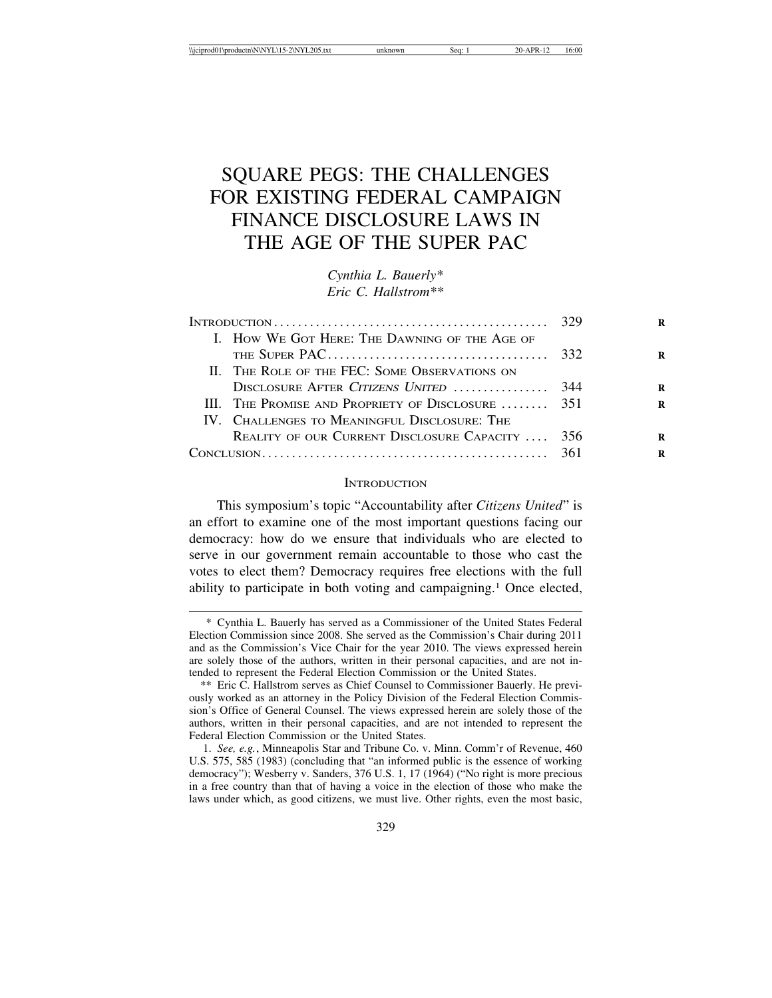# SQUARE PEGS: THE CHALLENGES FOR EXISTING FEDERAL CAMPAIGN FINANCE DISCLOSURE LAWS IN THE AGE OF THE SUPER PAC

*Cynthia L. Bauerly*\* *Eric C. Hallstrom*\*\*

| I. HOW WE GOT HERE: THE DAWNING OF THE AGE OF     |  |
|---------------------------------------------------|--|
|                                                   |  |
| II. THE ROLE OF THE FEC: SOME OBSERVATIONS ON     |  |
|                                                   |  |
| III. THE PROMISE AND PROPRIETY OF DISCLOSURE  351 |  |
| IV. CHALLENGES TO MEANINGFUL DISCLOSURE: THE      |  |
| REALITY OF OUR CURRENT DISCLOSURE CAPACITY  356   |  |
|                                                   |  |

#### **INTRODUCTION**

This symposium's topic "Accountability after *Citizens United*" is an effort to examine one of the most important questions facing our democracy: how do we ensure that individuals who are elected to serve in our government remain accountable to those who cast the votes to elect them? Democracy requires free elections with the full ability to participate in both voting and campaigning.1 Once elected,

<sup>\*</sup> Cynthia L. Bauerly has served as a Commissioner of the United States Federal Election Commission since 2008. She served as the Commission's Chair during 2011 and as the Commission's Vice Chair for the year 2010. The views expressed herein are solely those of the authors, written in their personal capacities, and are not intended to represent the Federal Election Commission or the United States.

<sup>\*\*</sup> Eric C. Hallstrom serves as Chief Counsel to Commissioner Bauerly. He previously worked as an attorney in the Policy Division of the Federal Election Commission's Office of General Counsel. The views expressed herein are solely those of the authors, written in their personal capacities, and are not intended to represent the Federal Election Commission or the United States.

<sup>1.</sup> *See, e.g.*, Minneapolis Star and Tribune Co. v. Minn. Comm'r of Revenue, 460 U.S. 575, 585 (1983) (concluding that "an informed public is the essence of working democracy"); Wesberry v. Sanders, 376 U.S. 1, 17 (1964) ("No right is more precious in a free country than that of having a voice in the election of those who make the laws under which, as good citizens, we must live. Other rights, even the most basic,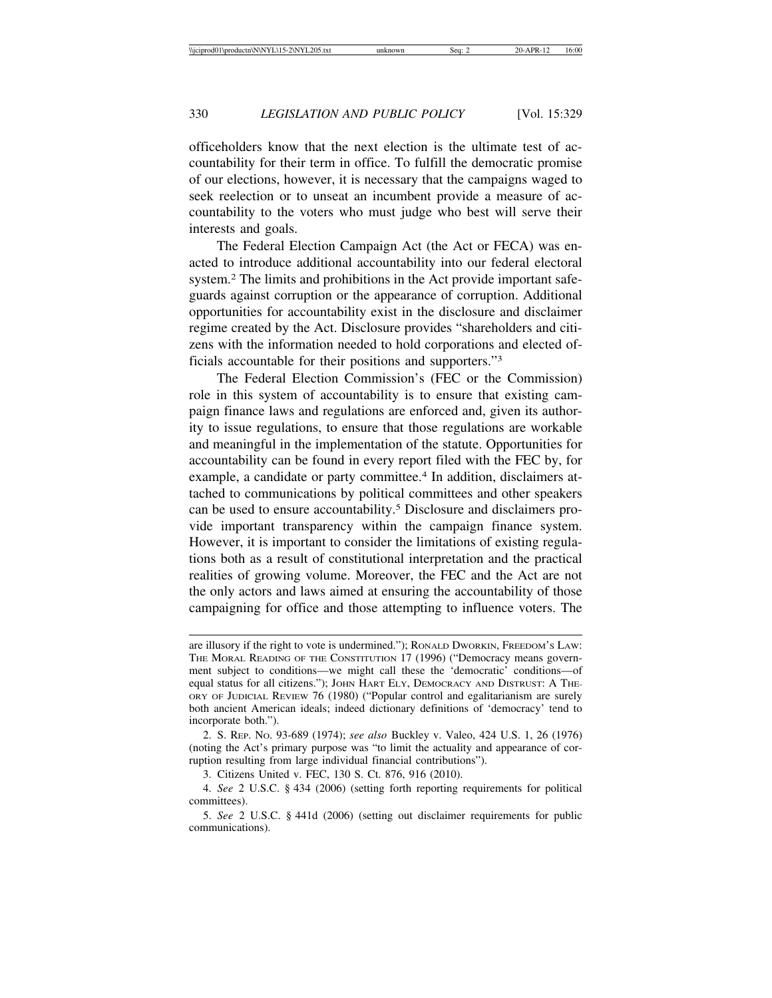officeholders know that the next election is the ultimate test of accountability for their term in office. To fulfill the democratic promise of our elections, however, it is necessary that the campaigns waged to seek reelection or to unseat an incumbent provide a measure of accountability to the voters who must judge who best will serve their interests and goals.

The Federal Election Campaign Act (the Act or FECA) was enacted to introduce additional accountability into our federal electoral system.2 The limits and prohibitions in the Act provide important safeguards against corruption or the appearance of corruption. Additional opportunities for accountability exist in the disclosure and disclaimer regime created by the Act. Disclosure provides "shareholders and citizens with the information needed to hold corporations and elected officials accountable for their positions and supporters."3

The Federal Election Commission's (FEC or the Commission) role in this system of accountability is to ensure that existing campaign finance laws and regulations are enforced and, given its authority to issue regulations, to ensure that those regulations are workable and meaningful in the implementation of the statute. Opportunities for accountability can be found in every report filed with the FEC by, for example, a candidate or party committee.<sup>4</sup> In addition, disclaimers attached to communications by political committees and other speakers can be used to ensure accountability.5 Disclosure and disclaimers provide important transparency within the campaign finance system. However, it is important to consider the limitations of existing regulations both as a result of constitutional interpretation and the practical realities of growing volume. Moreover, the FEC and the Act are not the only actors and laws aimed at ensuring the accountability of those campaigning for office and those attempting to influence voters. The

2. S. REP. NO. 93-689 (1974); *see also* Buckley v. Valeo, 424 U.S. 1, 26 (1976) (noting the Act's primary purpose was "to limit the actuality and appearance of corruption resulting from large individual financial contributions").

3. Citizens United v. FEC, 130 S. Ct. 876, 916 (2010).

are illusory if the right to vote is undermined."); RONALD DWORKIN, FREEDOM'S LAW: THE MORAL READING OF THE CONSTITUTION 17 (1996) ("Democracy means government subject to conditions—we might call these the 'democratic' conditions—of equal status for all citizens."); JOHN HART ELY, DEMOCRACY AND DISTRUST: A THE-ORY OF JUDICIAL REVIEW 76 (1980) ("Popular control and egalitarianism are surely both ancient American ideals; indeed dictionary definitions of 'democracy' tend to incorporate both.").

<sup>4.</sup> *See* 2 U.S.C. § 434 (2006) (setting forth reporting requirements for political committees).

<sup>5.</sup> *See* 2 U.S.C. § 441d (2006) (setting out disclaimer requirements for public communications).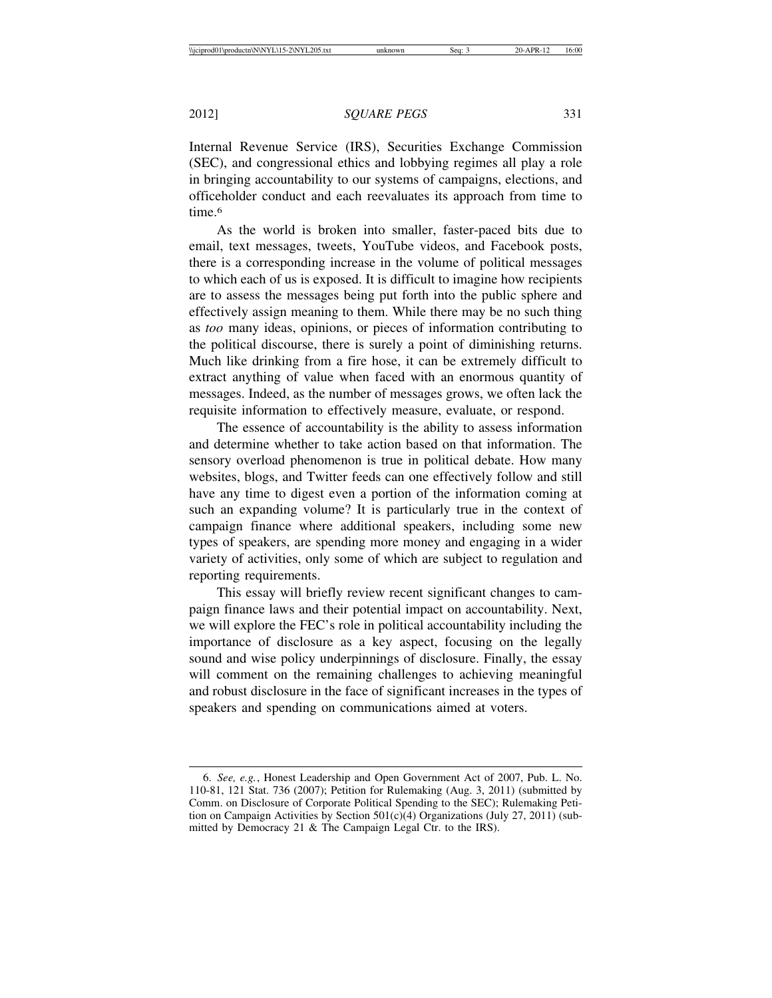Internal Revenue Service (IRS), Securities Exchange Commission (SEC), and congressional ethics and lobbying regimes all play a role in bringing accountability to our systems of campaigns, elections, and officeholder conduct and each reevaluates its approach from time to time<sup>6</sup>

As the world is broken into smaller, faster-paced bits due to email, text messages, tweets, YouTube videos, and Facebook posts, there is a corresponding increase in the volume of political messages to which each of us is exposed. It is difficult to imagine how recipients are to assess the messages being put forth into the public sphere and effectively assign meaning to them. While there may be no such thing as *too* many ideas, opinions, or pieces of information contributing to the political discourse, there is surely a point of diminishing returns. Much like drinking from a fire hose, it can be extremely difficult to extract anything of value when faced with an enormous quantity of messages. Indeed, as the number of messages grows, we often lack the requisite information to effectively measure, evaluate, or respond.

The essence of accountability is the ability to assess information and determine whether to take action based on that information. The sensory overload phenomenon is true in political debate. How many websites, blogs, and Twitter feeds can one effectively follow and still have any time to digest even a portion of the information coming at such an expanding volume? It is particularly true in the context of campaign finance where additional speakers, including some new types of speakers, are spending more money and engaging in a wider variety of activities, only some of which are subject to regulation and reporting requirements.

This essay will briefly review recent significant changes to campaign finance laws and their potential impact on accountability. Next, we will explore the FEC's role in political accountability including the importance of disclosure as a key aspect, focusing on the legally sound and wise policy underpinnings of disclosure. Finally, the essay will comment on the remaining challenges to achieving meaningful and robust disclosure in the face of significant increases in the types of speakers and spending on communications aimed at voters.

<sup>6.</sup> *See, e.g.*, Honest Leadership and Open Government Act of 2007, Pub. L. No. 110-81, 121 Stat. 736 (2007); Petition for Rulemaking (Aug. 3, 2011) (submitted by Comm. on Disclosure of Corporate Political Spending to the SEC); Rulemaking Petition on Campaign Activities by Section  $501(c)(4)$  Organizations (July 27, 2011) (submitted by Democracy 21 & The Campaign Legal Ctr. to the IRS).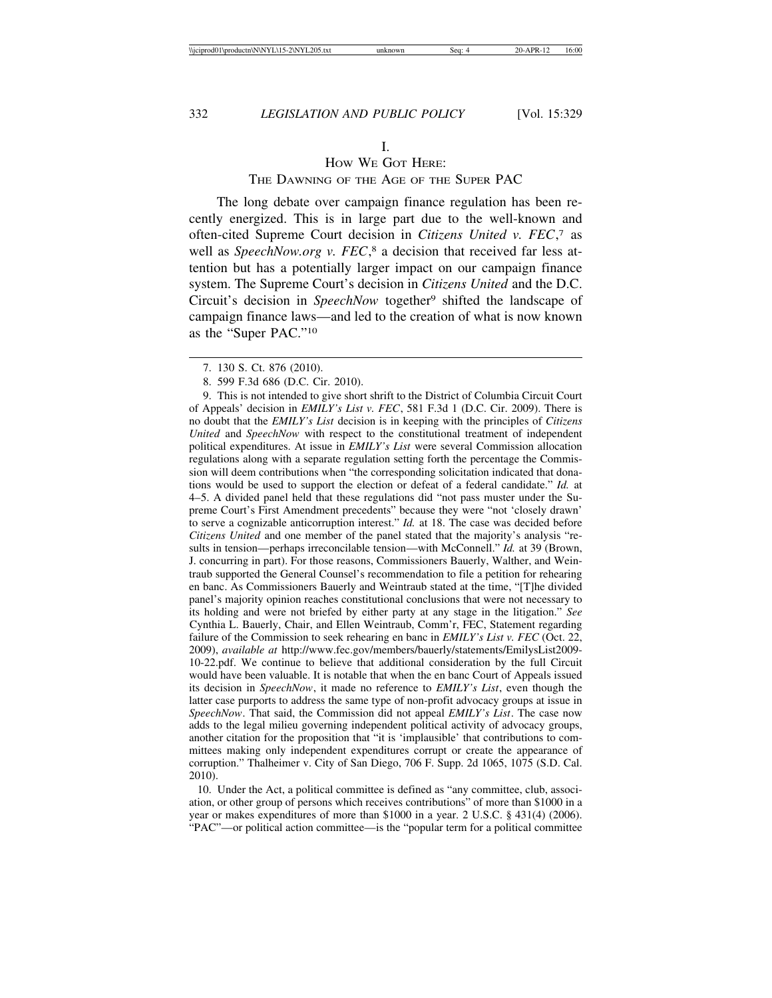## HOW WE GOT HERE:

### THE DAWNING OF THE AGE OF THE SUPER PAC

The long debate over campaign finance regulation has been recently energized. This is in large part due to the well-known and often-cited Supreme Court decision in *Citizens United v. FEC*, <sup>7</sup> as well as *SpeechNow.org v. FEC*, 8 a decision that received far less attention but has a potentially larger impact on our campaign finance system. The Supreme Court's decision in *Citizens United* and the D.C. Circuit's decision in *SpeechNow* together<sup>9</sup> shifted the landscape of campaign finance laws—and led to the creation of what is now known as the "Super PAC."10

9. This is not intended to give short shrift to the District of Columbia Circuit Court of Appeals' decision in *EMILY's List v. FEC*, 581 F.3d 1 (D.C. Cir. 2009). There is no doubt that the *EMILY's List* decision is in keeping with the principles of *Citizens United* and *SpeechNow* with respect to the constitutional treatment of independent political expenditures. At issue in *EMILY's List* were several Commission allocation regulations along with a separate regulation setting forth the percentage the Commission will deem contributions when "the corresponding solicitation indicated that donations would be used to support the election or defeat of a federal candidate." *Id.* at 4–5. A divided panel held that these regulations did "not pass muster under the Supreme Court's First Amendment precedents" because they were "not 'closely drawn' to serve a cognizable anticorruption interest." *Id.* at 18. The case was decided before *Citizens United* and one member of the panel stated that the majority's analysis "results in tension—perhaps irreconcilable tension—with McConnell." *Id.* at 39 (Brown, J. concurring in part). For those reasons, Commissioners Bauerly, Walther, and Weintraub supported the General Counsel's recommendation to file a petition for rehearing en banc. As Commissioners Bauerly and Weintraub stated at the time, "[T]he divided panel's majority opinion reaches constitutional conclusions that were not necessary to its holding and were not briefed by either party at any stage in the litigation." *See* Cynthia L. Bauerly, Chair, and Ellen Weintraub, Comm'r, FEC, Statement regarding failure of the Commission to seek rehearing en banc in *EMILY's List v. FEC* (Oct. 22, 2009), *available at* http://www.fec.gov/members/bauerly/statements/EmilysList2009- 10-22.pdf. We continue to believe that additional consideration by the full Circuit would have been valuable. It is notable that when the en banc Court of Appeals issued its decision in *SpeechNow*, it made no reference to *EMILY's List*, even though the latter case purports to address the same type of non-profit advocacy groups at issue in *SpeechNow*. That said, the Commission did not appeal *EMILY's List*. The case now adds to the legal milieu governing independent political activity of advocacy groups, another citation for the proposition that "it is 'implausible' that contributions to committees making only independent expenditures corrupt or create the appearance of corruption." Thalheimer v. City of San Diego, 706 F. Supp. 2d 1065, 1075 (S.D. Cal. 2010).

10. Under the Act, a political committee is defined as "any committee, club, association, or other group of persons which receives contributions" of more than \$1000 in a year or makes expenditures of more than \$1000 in a year. 2 U.S.C. § 431(4) (2006). "PAC"—or political action committee—is the "popular term for a political committee

<sup>7. 130</sup> S. Ct. 876 (2010).

<sup>8. 599</sup> F.3d 686 (D.C. Cir. 2010).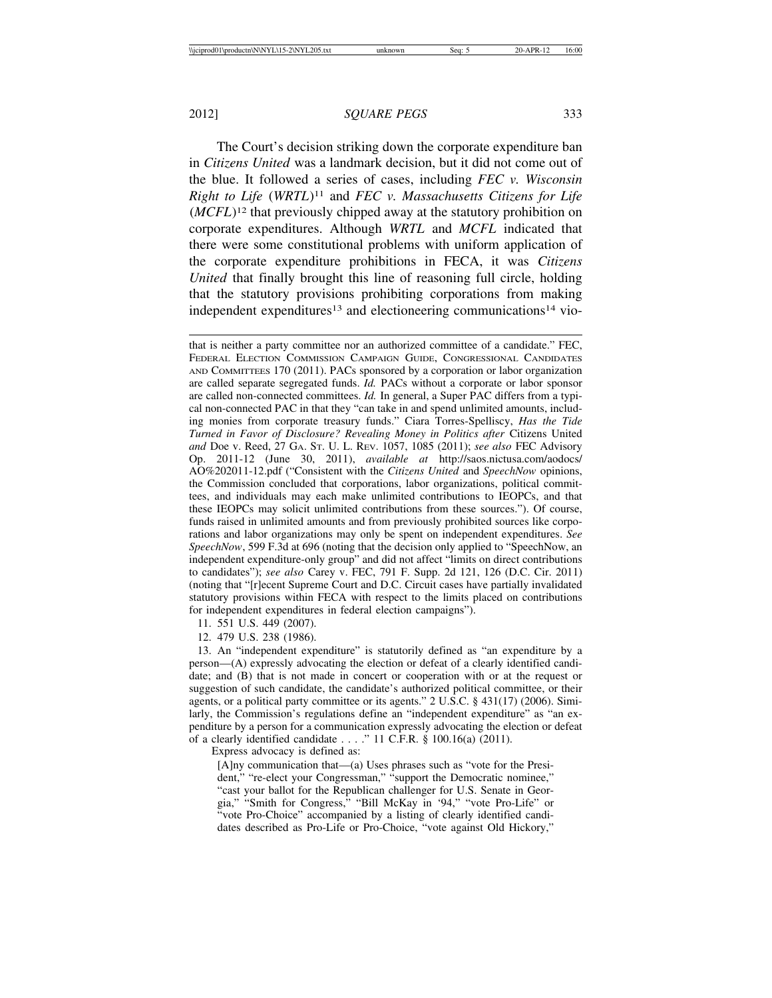The Court's decision striking down the corporate expenditure ban in *Citizens United* was a landmark decision, but it did not come out of the blue. It followed a series of cases, including *FEC v. Wisconsin Right to Life* (*WRTL*)11 and *FEC v. Massachusetts Citizens for Life* (*MCFL*)12 that previously chipped away at the statutory prohibition on corporate expenditures. Although *WRTL* and *MCFL* indicated that there were some constitutional problems with uniform application of the corporate expenditure prohibitions in FECA, it was *Citizens United* that finally brought this line of reasoning full circle, holding that the statutory provisions prohibiting corporations from making independent expenditures<sup>13</sup> and electioneering communications<sup>14</sup> vio-

11. 551 U.S. 449 (2007).

12. 479 U.S. 238 (1986).

13. An "independent expenditure" is statutorily defined as "an expenditure by a person—(A) expressly advocating the election or defeat of a clearly identified candidate; and (B) that is not made in concert or cooperation with or at the request or suggestion of such candidate, the candidate's authorized political committee, or their agents, or a political party committee or its agents." 2 U.S.C. § 431(17) (2006). Similarly, the Commission's regulations define an "independent expenditure" as "an expenditure by a person for a communication expressly advocating the election or defeat of a clearly identified candidate . . . ." 11 C.F.R. § 100.16(a) (2011).

Express advocacy is defined as:

[A]ny communication that—(a) Uses phrases such as "vote for the President," "re-elect your Congressman," "support the Democratic nominee," "cast your ballot for the Republican challenger for U.S. Senate in Georgia," "Smith for Congress," "Bill McKay in '94," "vote Pro-Life" or "vote Pro-Choice" accompanied by a listing of clearly identified candidates described as Pro-Life or Pro-Choice, "vote against Old Hickory,"

that is neither a party committee nor an authorized committee of a candidate." FEC, FEDERAL ELECTION COMMISSION CAMPAIGN GUIDE, CONGRESSIONAL CANDIDATES AND COMMITTEES 170 (2011). PACs sponsored by a corporation or labor organization are called separate segregated funds. *Id.* PACs without a corporate or labor sponsor are called non-connected committees. *Id.* In general, a Super PAC differs from a typical non-connected PAC in that they "can take in and spend unlimited amounts, including monies from corporate treasury funds." Ciara Torres-Spelliscy, *Has the Tide Turned in Favor of Disclosure? Revealing Money in Politics after* Citizens United *and* Doe v. Reed, 27 GA. ST. U. L. REV. 1057, 1085 (2011); *see also* FEC Advisory Op. 2011-12 (June 30, 2011), *available at* http://saos.nictusa.com/aodocs/ AO%202011-12.pdf ("Consistent with the *Citizens United* and *SpeechNow* opinions, the Commission concluded that corporations, labor organizations, political committees, and individuals may each make unlimited contributions to IEOPCs, and that these IEOPCs may solicit unlimited contributions from these sources."). Of course, funds raised in unlimited amounts and from previously prohibited sources like corporations and labor organizations may only be spent on independent expenditures. *See SpeechNow*, 599 F.3d at 696 (noting that the decision only applied to "SpeechNow, an independent expenditure-only group" and did not affect "limits on direct contributions to candidates"); *see also* Carey v. FEC, 791 F. Supp. 2d 121, 126 (D.C. Cir. 2011) (noting that "[r]ecent Supreme Court and D.C. Circuit cases have partially invalidated statutory provisions within FECA with respect to the limits placed on contributions for independent expenditures in federal election campaigns").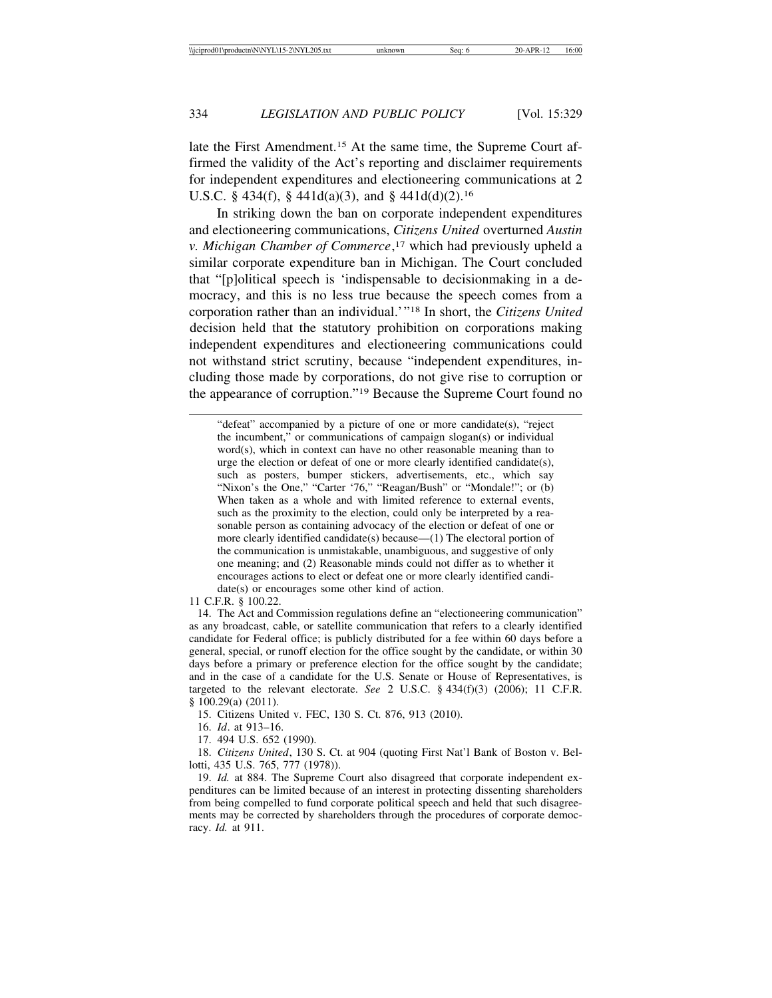late the First Amendment.15 At the same time, the Supreme Court affirmed the validity of the Act's reporting and disclaimer requirements for independent expenditures and electioneering communications at 2 U.S.C. § 434(f), § 441d(a)(3), and § 441d(d)(2).16

In striking down the ban on corporate independent expenditures and electioneering communications, *Citizens United* overturned *Austin v. Michigan Chamber of Commerce*, 17 which had previously upheld a similar corporate expenditure ban in Michigan. The Court concluded that "[p]olitical speech is 'indispensable to decisionmaking in a democracy, and this is no less true because the speech comes from a corporation rather than an individual.'"18 In short, the *Citizens United* decision held that the statutory prohibition on corporations making independent expenditures and electioneering communications could not withstand strict scrutiny, because "independent expenditures, including those made by corporations, do not give rise to corruption or the appearance of corruption."19 Because the Supreme Court found no

"defeat" accompanied by a picture of one or more candidate(s), "reject the incumbent," or communications of campaign slogan(s) or individual word(s), which in context can have no other reasonable meaning than to urge the election or defeat of one or more clearly identified candidate(s), such as posters, bumper stickers, advertisements, etc., which say "Nixon's the One," "Carter '76," "Reagan/Bush" or "Mondale!"; or (b) When taken as a whole and with limited reference to external events, such as the proximity to the election, could only be interpreted by a reasonable person as containing advocacy of the election or defeat of one or more clearly identified candidate(s) because—(1) The electoral portion of the communication is unmistakable, unambiguous, and suggestive of only one meaning; and (2) Reasonable minds could not differ as to whether it encourages actions to elect or defeat one or more clearly identified candidate(s) or encourages some other kind of action.

11 C.F.R. § 100.22.

14. The Act and Commission regulations define an "electioneering communication" as any broadcast, cable, or satellite communication that refers to a clearly identified candidate for Federal office; is publicly distributed for a fee within 60 days before a general, special, or runoff election for the office sought by the candidate, or within 30 days before a primary or preference election for the office sought by the candidate; and in the case of a candidate for the U.S. Senate or House of Representatives, is targeted to the relevant electorate. *See* 2 U.S.C.  $\S$  434(f)(3) (2006); 11 C.F.R. § 100.29(a) (2011).

15. Citizens United v. FEC, 130 S. Ct. 876, 913 (2010).

16. *Id*. at 913–16.

17. 494 U.S. 652 (1990).

18. *Citizens United*, 130 S. Ct. at 904 (quoting First Nat'l Bank of Boston v. Bellotti, 435 U.S. 765, 777 (1978)).

19. *Id.* at 884. The Supreme Court also disagreed that corporate independent expenditures can be limited because of an interest in protecting dissenting shareholders from being compelled to fund corporate political speech and held that such disagreements may be corrected by shareholders through the procedures of corporate democracy. *Id.* at 911.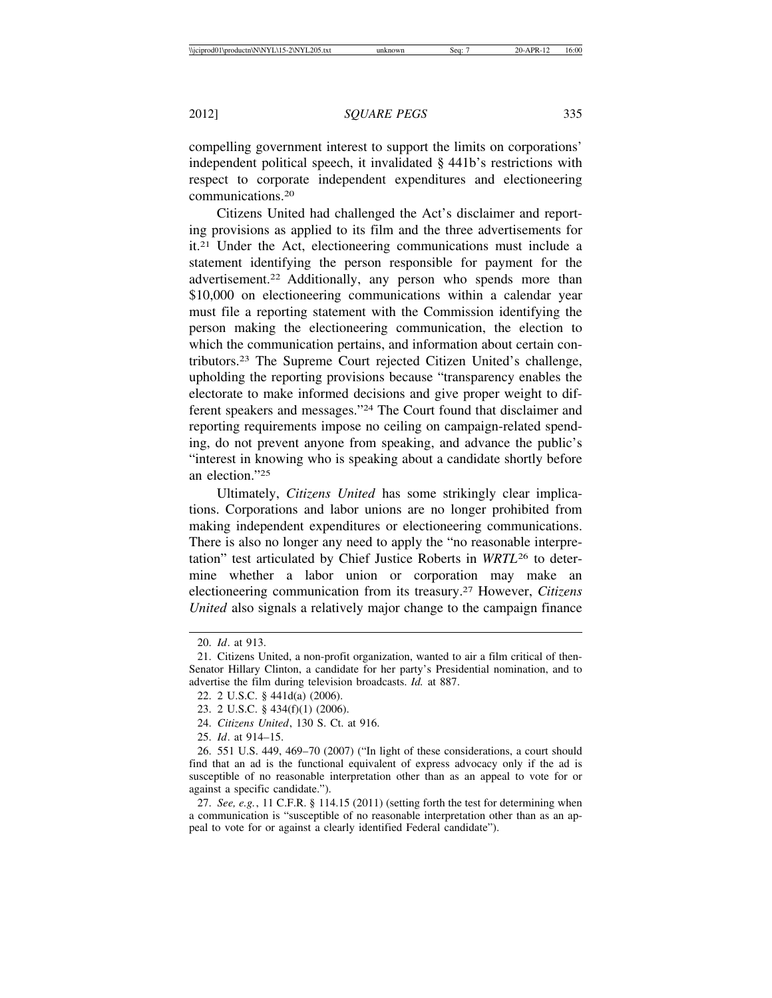compelling government interest to support the limits on corporations' independent political speech, it invalidated § 441b's restrictions with respect to corporate independent expenditures and electioneering communications.20

Citizens United had challenged the Act's disclaimer and reporting provisions as applied to its film and the three advertisements for it.21 Under the Act, electioneering communications must include a statement identifying the person responsible for payment for the advertisement.22 Additionally, any person who spends more than \$10,000 on electioneering communications within a calendar year must file a reporting statement with the Commission identifying the person making the electioneering communication, the election to which the communication pertains, and information about certain contributors.23 The Supreme Court rejected Citizen United's challenge, upholding the reporting provisions because "transparency enables the electorate to make informed decisions and give proper weight to different speakers and messages."24 The Court found that disclaimer and reporting requirements impose no ceiling on campaign-related spending, do not prevent anyone from speaking, and advance the public's "interest in knowing who is speaking about a candidate shortly before an election."25

Ultimately, *Citizens United* has some strikingly clear implications. Corporations and labor unions are no longer prohibited from making independent expenditures or electioneering communications. There is also no longer any need to apply the "no reasonable interpretation" test articulated by Chief Justice Roberts in *WRTL*<sup>26</sup> to determine whether a labor union or corporation may make an electioneering communication from its treasury.27 However, *Citizens United* also signals a relatively major change to the campaign finance

26. 551 U.S. 449, 469–70 (2007) ("In light of these considerations, a court should find that an ad is the functional equivalent of express advocacy only if the ad is susceptible of no reasonable interpretation other than as an appeal to vote for or against a specific candidate.").

27. *See, e.g.*, 11 C.F.R. § 114.15 (2011) (setting forth the test for determining when a communication is "susceptible of no reasonable interpretation other than as an appeal to vote for or against a clearly identified Federal candidate").

<sup>20.</sup> *Id*. at 913.

<sup>21.</sup> Citizens United, a non-profit organization, wanted to air a film critical of then-Senator Hillary Clinton, a candidate for her party's Presidential nomination, and to advertise the film during television broadcasts. *Id.* at 887.

<sup>22. 2</sup> U.S.C. § 441d(a) (2006).

<sup>23. 2</sup> U.S.C. § 434(f)(1) (2006).

<sup>24.</sup> *Citizens United*, 130 S. Ct. at 916.

<sup>25.</sup> *Id*. at 914–15.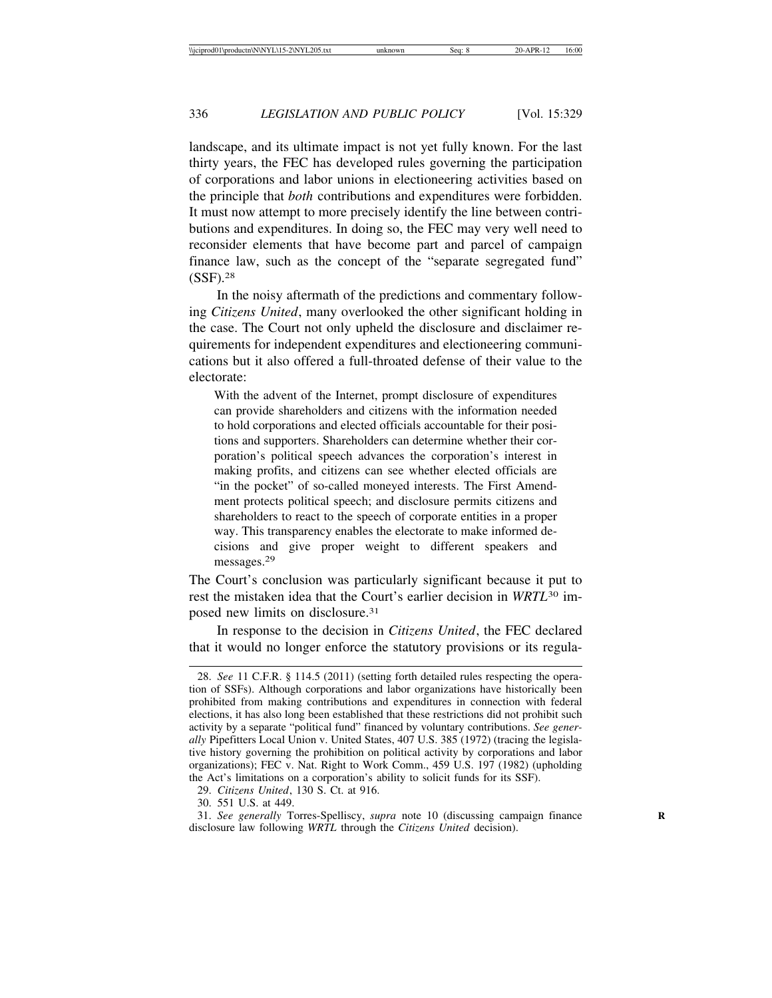landscape, and its ultimate impact is not yet fully known. For the last thirty years, the FEC has developed rules governing the participation of corporations and labor unions in electioneering activities based on the principle that *both* contributions and expenditures were forbidden. It must now attempt to more precisely identify the line between contributions and expenditures. In doing so, the FEC may very well need to reconsider elements that have become part and parcel of campaign finance law, such as the concept of the "separate segregated fund" (SSF).28

In the noisy aftermath of the predictions and commentary following *Citizens United*, many overlooked the other significant holding in the case. The Court not only upheld the disclosure and disclaimer requirements for independent expenditures and electioneering communications but it also offered a full-throated defense of their value to the electorate:

With the advent of the Internet, prompt disclosure of expenditures can provide shareholders and citizens with the information needed to hold corporations and elected officials accountable for their positions and supporters. Shareholders can determine whether their corporation's political speech advances the corporation's interest in making profits, and citizens can see whether elected officials are "in the pocket" of so-called moneyed interests. The First Amendment protects political speech; and disclosure permits citizens and shareholders to react to the speech of corporate entities in a proper way. This transparency enables the electorate to make informed decisions and give proper weight to different speakers and messages.<sup>29</sup>

The Court's conclusion was particularly significant because it put to rest the mistaken idea that the Court's earlier decision in *WRTL*<sup>30</sup> imposed new limits on disclosure.31

In response to the decision in *Citizens United*, the FEC declared that it would no longer enforce the statutory provisions or its regula-

<sup>28.</sup> *See* 11 C.F.R. § 114.5 (2011) (setting forth detailed rules respecting the operation of SSFs). Although corporations and labor organizations have historically been prohibited from making contributions and expenditures in connection with federal elections, it has also long been established that these restrictions did not prohibit such activity by a separate "political fund" financed by voluntary contributions. *See generally* Pipefitters Local Union v. United States, 407 U.S. 385 (1972) (tracing the legislative history governing the prohibition on political activity by corporations and labor organizations); FEC v. Nat. Right to Work Comm., 459 U.S. 197 (1982) (upholding the Act's limitations on a corporation's ability to solicit funds for its SSF).

<sup>29.</sup> *Citizens United*, 130 S. Ct. at 916.

<sup>30. 551</sup> U.S. at 449.

<sup>31.</sup> *See generally* Torres-Spelliscy, *supra* note 10 (discussing campaign finance **R** disclosure law following *WRTL* through the *Citizens United* decision).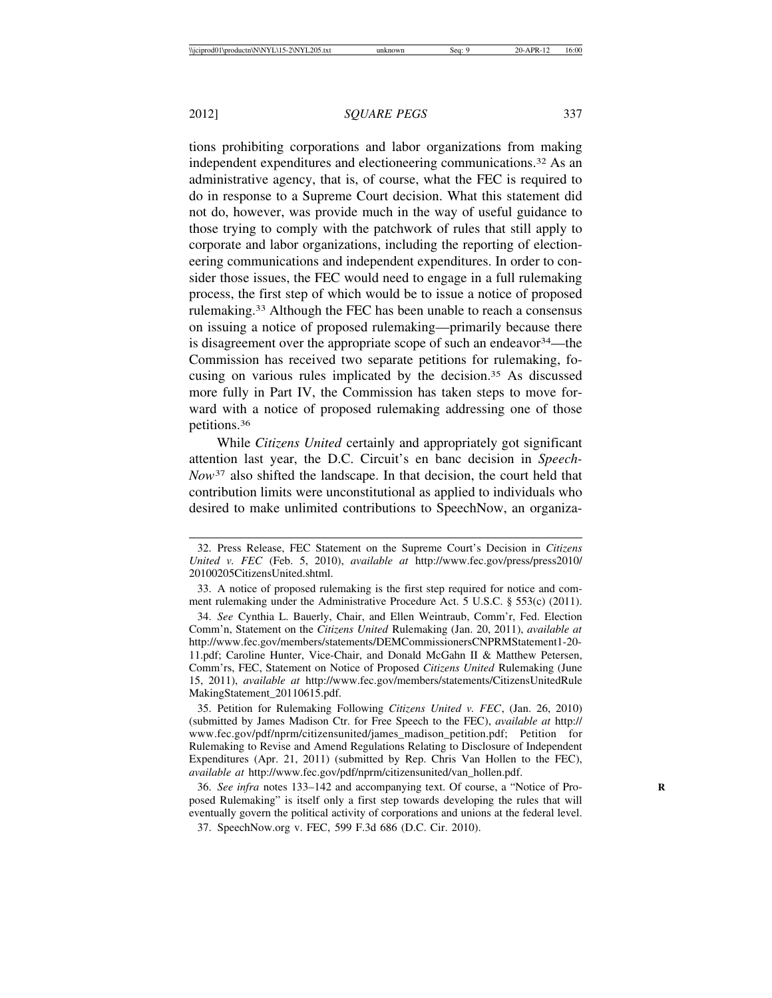tions prohibiting corporations and labor organizations from making independent expenditures and electioneering communications.32 As an administrative agency, that is, of course, what the FEC is required to do in response to a Supreme Court decision. What this statement did not do, however, was provide much in the way of useful guidance to those trying to comply with the patchwork of rules that still apply to corporate and labor organizations, including the reporting of electioneering communications and independent expenditures. In order to consider those issues, the FEC would need to engage in a full rulemaking process, the first step of which would be to issue a notice of proposed rulemaking.33 Although the FEC has been unable to reach a consensus on issuing a notice of proposed rulemaking—primarily because there is disagreement over the appropriate scope of such an endeavor  $34$ —the Commission has received two separate petitions for rulemaking, focusing on various rules implicated by the decision.35 As discussed more fully in Part IV, the Commission has taken steps to move forward with a notice of proposed rulemaking addressing one of those petitions.36

While *Citizens United* certainly and appropriately got significant attention last year, the D.C. Circuit's en banc decision in *Speech-Now*37 also shifted the landscape. In that decision, the court held that contribution limits were unconstitutional as applied to individuals who desired to make unlimited contributions to SpeechNow, an organiza-

34. *See* Cynthia L. Bauerly, Chair, and Ellen Weintraub, Comm'r, Fed. Election Comm'n, Statement on the *Citizens United* Rulemaking (Jan. 20, 2011), *available at* http://www.fec.gov/members/statements/DEMCommissionersCNPRMStatement1-20- 11.pdf; Caroline Hunter, Vice-Chair, and Donald McGahn II & Matthew Petersen, Comm'rs, FEC, Statement on Notice of Proposed *Citizens United* Rulemaking (June 15, 2011), *available at* http://www.fec.gov/members/statements/CitizensUnitedRule MakingStatement\_20110615.pdf.

35. Petition for Rulemaking Following *Citizens United v. FEC*, (Jan. 26, 2010) (submitted by James Madison Ctr. for Free Speech to the FEC), *available at* http:// www.fec.gov/pdf/nprm/citizensunited/james\_madison\_petition.pdf; Petition for Rulemaking to Revise and Amend Regulations Relating to Disclosure of Independent Expenditures (Apr. 21, 2011) (submitted by Rep. Chris Van Hollen to the FEC), *available at* http://www.fec.gov/pdf/nprm/citizensunited/van\_hollen.pdf.

36. *See infra* notes 133–142 and accompanying text. Of course, a "Notice of Pro- **R** posed Rulemaking" is itself only a first step towards developing the rules that will eventually govern the political activity of corporations and unions at the federal level.

37. SpeechNow.org v. FEC, 599 F.3d 686 (D.C. Cir. 2010).

<sup>32.</sup> Press Release, FEC Statement on the Supreme Court's Decision in *Citizens United v. FEC* (Feb. 5, 2010), *available at http://www.fec.gov/press/press2010/* 20100205CitizensUnited.shtml.

<sup>33.</sup> A notice of proposed rulemaking is the first step required for notice and comment rulemaking under the Administrative Procedure Act. 5 U.S.C. § 553(c) (2011).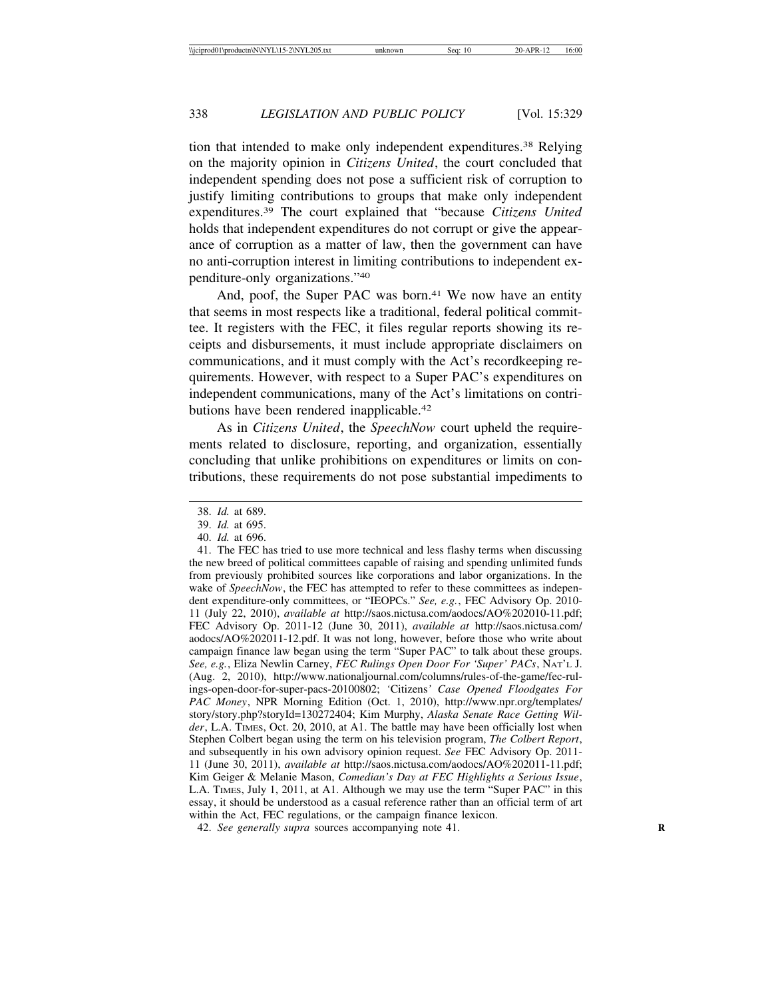tion that intended to make only independent expenditures.38 Relying on the majority opinion in *Citizens United*, the court concluded that independent spending does not pose a sufficient risk of corruption to justify limiting contributions to groups that make only independent expenditures.39 The court explained that "because *Citizens United* holds that independent expenditures do not corrupt or give the appearance of corruption as a matter of law, then the government can have no anti-corruption interest in limiting contributions to independent expenditure-only organizations."40

And, poof, the Super PAC was born.<sup>41</sup> We now have an entity that seems in most respects like a traditional, federal political committee. It registers with the FEC, it files regular reports showing its receipts and disbursements, it must include appropriate disclaimers on communications, and it must comply with the Act's recordkeeping requirements. However, with respect to a Super PAC's expenditures on independent communications, many of the Act's limitations on contributions have been rendered inapplicable.<sup>42</sup>

As in *Citizens United*, the *SpeechNow* court upheld the requirements related to disclosure, reporting, and organization, essentially concluding that unlike prohibitions on expenditures or limits on contributions, these requirements do not pose substantial impediments to

40. *Id.* at 696.

<sup>38.</sup> *Id.* at 689.

<sup>39.</sup> *Id.* at 695.

<sup>41.</sup> The FEC has tried to use more technical and less flashy terms when discussing the new breed of political committees capable of raising and spending unlimited funds from previously prohibited sources like corporations and labor organizations. In the wake of *SpeechNow*, the FEC has attempted to refer to these committees as independent expenditure-only committees, or "IEOPCs." *See, e.g.*, FEC Advisory Op. 2010- 11 (July 22, 2010), *available at* http://saos.nictusa.com/aodocs/AO%202010-11.pdf; FEC Advisory Op. 2011-12 (June 30, 2011), *available at* http://saos.nictusa.com/ aodocs/AO%202011-12.pdf. It was not long, however, before those who write about campaign finance law began using the term "Super PAC" to talk about these groups. *See, e.g.*, Eliza Newlin Carney, *FEC Rulings Open Door For 'Super' PACs*, NAT'L J. (Aug. 2, 2010), http://www.nationaljournal.com/columns/rules-of-the-game/fec-rulings-open-door-for-super-pacs-20100802; *'*Citizens*' Case Opened Floodgates For PAC Money*, NPR Morning Edition (Oct. 1, 2010), http://www.npr.org/templates/ story/story.php?storyId=130272404; Kim Murphy, *Alaska Senate Race Getting Wilder*, L.A. TIMES, Oct. 20, 2010, at A1. The battle may have been officially lost when Stephen Colbert began using the term on his television program, *The Colbert Report*, and subsequently in his own advisory opinion request. *See* FEC Advisory Op. 2011- 11 (June 30, 2011), *available at* http://saos.nictusa.com/aodocs/AO%202011-11.pdf; Kim Geiger & Melanie Mason, *Comedian's Day at FEC Highlights a Serious Issue*, L.A. TIMES, July 1, 2011, at A1. Although we may use the term "Super PAC" in this essay, it should be understood as a casual reference rather than an official term of art within the Act, FEC regulations, or the campaign finance lexicon.

<sup>42.</sup> *See generally supra* sources accompanying note 41. **R**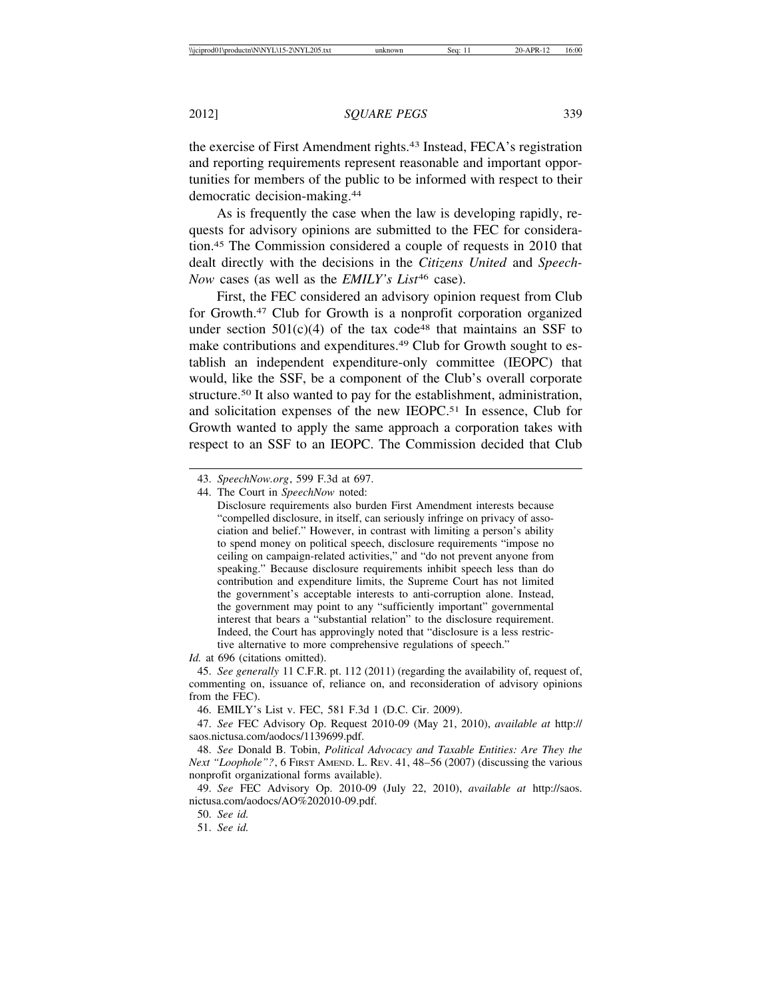the exercise of First Amendment rights.43 Instead, FECA's registration and reporting requirements represent reasonable and important opportunities for members of the public to be informed with respect to their democratic decision-making.44

As is frequently the case when the law is developing rapidly, requests for advisory opinions are submitted to the FEC for consideration.45 The Commission considered a couple of requests in 2010 that dealt directly with the decisions in the *Citizens United* and *Speech-Now* cases (as well as the *EMILY's List*<sup>46</sup> case).

First, the FEC considered an advisory opinion request from Club for Growth.47 Club for Growth is a nonprofit corporation organized under section  $501(c)(4)$  of the tax code<sup>48</sup> that maintains an SSF to make contributions and expenditures.<sup>49</sup> Club for Growth sought to establish an independent expenditure-only committee (IEOPC) that would, like the SSF, be a component of the Club's overall corporate structure.50 It also wanted to pay for the establishment, administration, and solicitation expenses of the new IEOPC.51 In essence, Club for Growth wanted to apply the same approach a corporation takes with respect to an SSF to an IEOPC. The Commission decided that Club

Disclosure requirements also burden First Amendment interests because "compelled disclosure, in itself, can seriously infringe on privacy of association and belief." However, in contrast with limiting a person's ability to spend money on political speech, disclosure requirements "impose no ceiling on campaign-related activities," and "do not prevent anyone from speaking." Because disclosure requirements inhibit speech less than do contribution and expenditure limits, the Supreme Court has not limited the government's acceptable interests to anti-corruption alone. Instead, the government may point to any "sufficiently important" governmental interest that bears a "substantial relation" to the disclosure requirement. Indeed, the Court has approvingly noted that "disclosure is a less restrictive alternative to more comprehensive regulations of speech."

*Id.* at 696 (citations omitted).

45. *See generally* 11 C.F.R. pt. 112 (2011) (regarding the availability of, request of, commenting on, issuance of, reliance on, and reconsideration of advisory opinions from the FEC).

46. EMILY's List v. FEC, 581 F.3d 1 (D.C. Cir. 2009).

47. *See* FEC Advisory Op. Request 2010-09 (May 21, 2010), *available at* http:// saos.nictusa.com/aodocs/1139699.pdf.

48. *See* Donald B. Tobin, *Political Advocacy and Taxable Entities: Are They the Next "Loophole"?*, 6 FIRST AMEND. L. REV. 41, 48–56 (2007) (discussing the various nonprofit organizational forms available).

49. *See* FEC Advisory Op. 2010-09 (July 22, 2010), *available at* http://saos. nictusa.com/aodocs/AO%202010-09.pdf.

50. *See id.*

51. *See id.*

<sup>43.</sup> *SpeechNow.org*, 599 F.3d at 697.

<sup>44.</sup> The Court in *SpeechNow* noted: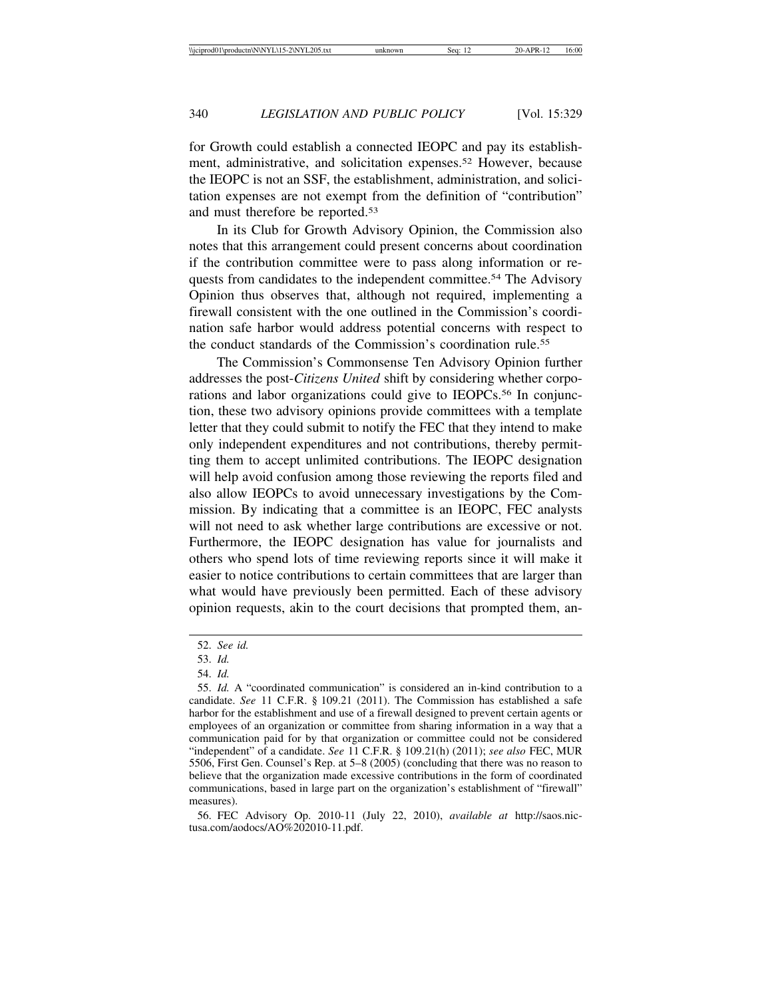for Growth could establish a connected IEOPC and pay its establishment, administrative, and solicitation expenses.<sup>52</sup> However, because the IEOPC is not an SSF, the establishment, administration, and solicitation expenses are not exempt from the definition of "contribution" and must therefore be reported.53

In its Club for Growth Advisory Opinion, the Commission also notes that this arrangement could present concerns about coordination if the contribution committee were to pass along information or requests from candidates to the independent committee.<sup>54</sup> The Advisory Opinion thus observes that, although not required, implementing a firewall consistent with the one outlined in the Commission's coordination safe harbor would address potential concerns with respect to the conduct standards of the Commission's coordination rule.<sup>55</sup>

The Commission's Commonsense Ten Advisory Opinion further addresses the post-*Citizens United* shift by considering whether corporations and labor organizations could give to IEOPCs.<sup>56</sup> In conjunction, these two advisory opinions provide committees with a template letter that they could submit to notify the FEC that they intend to make only independent expenditures and not contributions, thereby permitting them to accept unlimited contributions. The IEOPC designation will help avoid confusion among those reviewing the reports filed and also allow IEOPCs to avoid unnecessary investigations by the Commission. By indicating that a committee is an IEOPC, FEC analysts will not need to ask whether large contributions are excessive or not. Furthermore, the IEOPC designation has value for journalists and others who spend lots of time reviewing reports since it will make it easier to notice contributions to certain committees that are larger than what would have previously been permitted. Each of these advisory opinion requests, akin to the court decisions that prompted them, an-

54. *Id.*

<sup>52.</sup> *See id.*

<sup>53.</sup> *Id.*

<sup>55.</sup> *Id.* A "coordinated communication" is considered an in-kind contribution to a candidate. *See* 11 C.F.R. § 109.21 (2011). The Commission has established a safe harbor for the establishment and use of a firewall designed to prevent certain agents or employees of an organization or committee from sharing information in a way that a communication paid for by that organization or committee could not be considered "independent" of a candidate. *See* 11 C.F.R. § 109.21(h) (2011); *see also* FEC, MUR 5506, First Gen. Counsel's Rep. at 5–8 (2005) (concluding that there was no reason to believe that the organization made excessive contributions in the form of coordinated communications, based in large part on the organization's establishment of "firewall" measures).

<sup>56.</sup> FEC Advisory Op. 2010-11 (July 22, 2010), *available at* http://saos.nictusa.com/aodocs/AO%202010-11.pdf.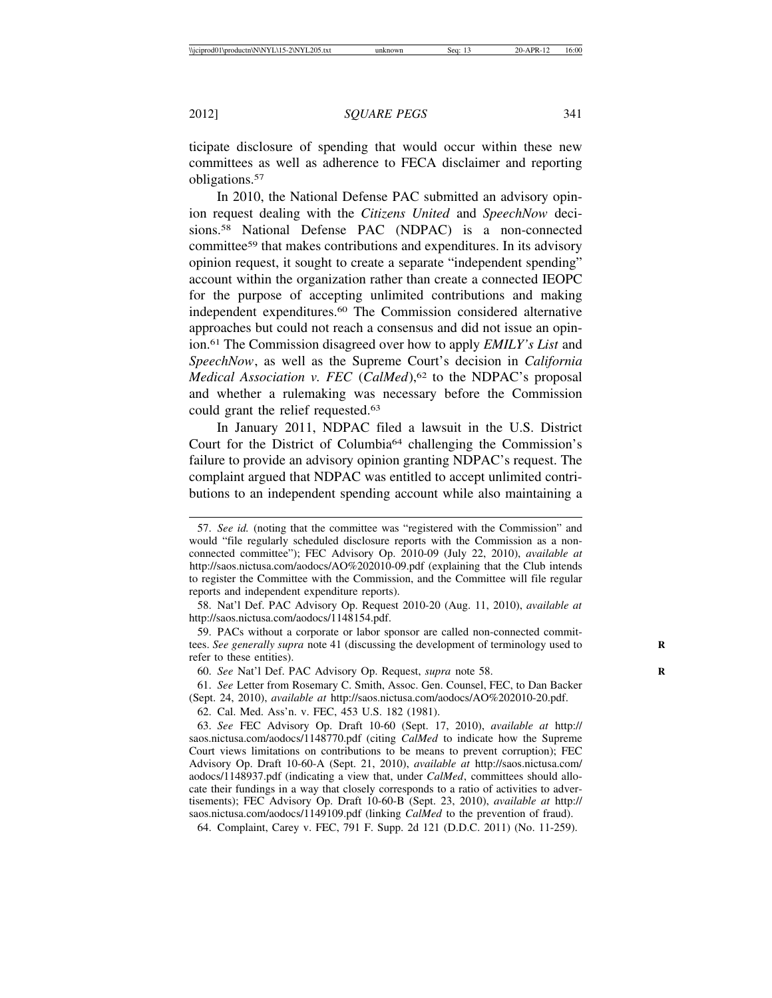ticipate disclosure of spending that would occur within these new committees as well as adherence to FECA disclaimer and reporting obligations.57

In 2010, the National Defense PAC submitted an advisory opinion request dealing with the *Citizens United* and *SpeechNow* decisions.58 National Defense PAC (NDPAC) is a non-connected committee59 that makes contributions and expenditures. In its advisory opinion request, it sought to create a separate "independent spending" account within the organization rather than create a connected IEOPC for the purpose of accepting unlimited contributions and making independent expenditures.60 The Commission considered alternative approaches but could not reach a consensus and did not issue an opinion.61 The Commission disagreed over how to apply *EMILY's List* and *SpeechNow*, as well as the Supreme Court's decision in *California Medical Association v. FEC* (*CalMed*),<sup>62</sup> to the NDPAC's proposal and whether a rulemaking was necessary before the Commission could grant the relief requested.63

In January 2011, NDPAC filed a lawsuit in the U.S. District Court for the District of Columbia64 challenging the Commission's failure to provide an advisory opinion granting NDPAC's request. The complaint argued that NDPAC was entitled to accept unlimited contributions to an independent spending account while also maintaining a

62. Cal. Med. Ass'n. v. FEC, 453 U.S. 182 (1981).

64. Complaint, Carey v. FEC, 791 F. Supp. 2d 121 (D.D.C. 2011) (No. 11-259).

<sup>57.</sup> *See id.* (noting that the committee was "registered with the Commission" and would "file regularly scheduled disclosure reports with the Commission as a nonconnected committee"); FEC Advisory Op. 2010-09 (July 22, 2010), *available at* http://saos.nictusa.com/aodocs/AO%202010-09.pdf (explaining that the Club intends to register the Committee with the Commission, and the Committee will file regular reports and independent expenditure reports).

<sup>58.</sup> Nat'l Def. PAC Advisory Op. Request 2010-20 (Aug. 11, 2010), *available at* http://saos.nictusa.com/aodocs/1148154.pdf.

<sup>59.</sup> PACs without a corporate or labor sponsor are called non-connected committees. *See generally supra* note 41 (discussing the development of terminology used to **R** refer to these entities).

<sup>60.</sup> *See* Nat'l Def. PAC Advisory Op. Request, *supra* note 58.

<sup>61.</sup> *See* Letter from Rosemary C. Smith, Assoc. Gen. Counsel, FEC, to Dan Backer (Sept. 24, 2010), *available at* http://saos.nictusa.com/aodocs/AO%202010-20.pdf.

<sup>63.</sup> *See* FEC Advisory Op. Draft 10-60 (Sept. 17, 2010), *available at* http:// saos.nictusa.com/aodocs/1148770.pdf (citing *CalMed* to indicate how the Supreme Court views limitations on contributions to be means to prevent corruption); FEC Advisory Op. Draft 10-60-A (Sept. 21, 2010), *available at* http://saos.nictusa.com/ aodocs/1148937.pdf (indicating a view that, under *CalMed*, committees should allocate their fundings in a way that closely corresponds to a ratio of activities to advertisements); FEC Advisory Op. Draft 10-60-B (Sept. 23, 2010), *available at* http:// saos.nictusa.com/aodocs/1149109.pdf (linking *CalMed* to the prevention of fraud).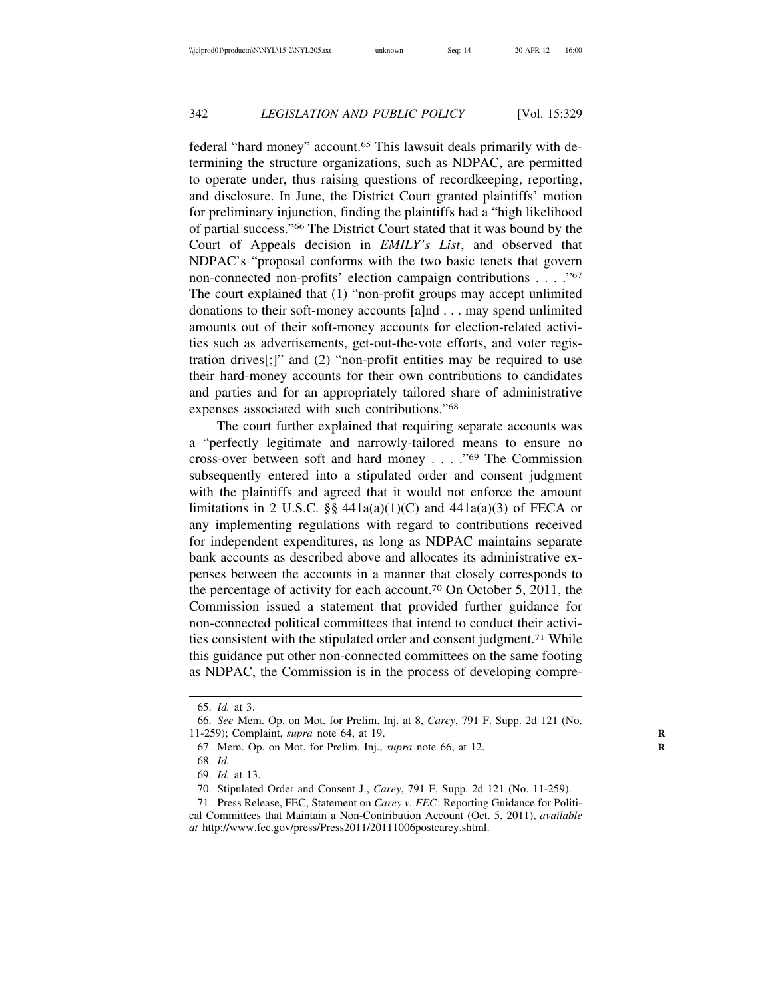federal "hard money" account.65 This lawsuit deals primarily with determining the structure organizations, such as NDPAC, are permitted to operate under, thus raising questions of recordkeeping, reporting, and disclosure. In June, the District Court granted plaintiffs' motion for preliminary injunction, finding the plaintiffs had a "high likelihood of partial success."66 The District Court stated that it was bound by the Court of Appeals decision in *EMILY's List*, and observed that NDPAC's "proposal conforms with the two basic tenets that govern non-connected non-profits' election campaign contributions . . . ."67 The court explained that (1) "non-profit groups may accept unlimited donations to their soft-money accounts [a]nd . . . may spend unlimited amounts out of their soft-money accounts for election-related activities such as advertisements, get-out-the-vote efforts, and voter registration drives[;]" and (2) "non-profit entities may be required to use their hard-money accounts for their own contributions to candidates and parties and for an appropriately tailored share of administrative expenses associated with such contributions."68

The court further explained that requiring separate accounts was a "perfectly legitimate and narrowly-tailored means to ensure no cross-over between soft and hard money . . . ."69 The Commission subsequently entered into a stipulated order and consent judgment with the plaintiffs and agreed that it would not enforce the amount limitations in 2 U.S.C. §§  $441a(a)(1)(C)$  and  $441a(a)(3)$  of FECA or any implementing regulations with regard to contributions received for independent expenditures, as long as NDPAC maintains separate bank accounts as described above and allocates its administrative expenses between the accounts in a manner that closely corresponds to the percentage of activity for each account.70 On October 5, 2011, the Commission issued a statement that provided further guidance for non-connected political committees that intend to conduct their activities consistent with the stipulated order and consent judgment.71 While this guidance put other non-connected committees on the same footing as NDPAC, the Commission is in the process of developing compre-

<sup>65.</sup> *Id.* at 3.

<sup>66.</sup> *See* Mem. Op. on Mot. for Prelim. Inj. at 8, *Carey*, 791 F. Supp. 2d 121 (No. 11-259); Complaint, *supra* note 64, at 19. **R**

<sup>67.</sup> Mem. Op. on Mot. for Prelim. Inj., *supra* note 66, at 12. **R**

<sup>68.</sup> *Id.*

<sup>69.</sup> *Id.* at 13.

<sup>70.</sup> Stipulated Order and Consent J., *Carey*, 791 F. Supp. 2d 121 (No. 11-259).

<sup>71.</sup> Press Release, FEC, Statement on *Carey v. FEC*: Reporting Guidance for Political Committees that Maintain a Non-Contribution Account (Oct. 5, 2011), *available at* http://www.fec.gov/press/Press2011/20111006postcarey.shtml.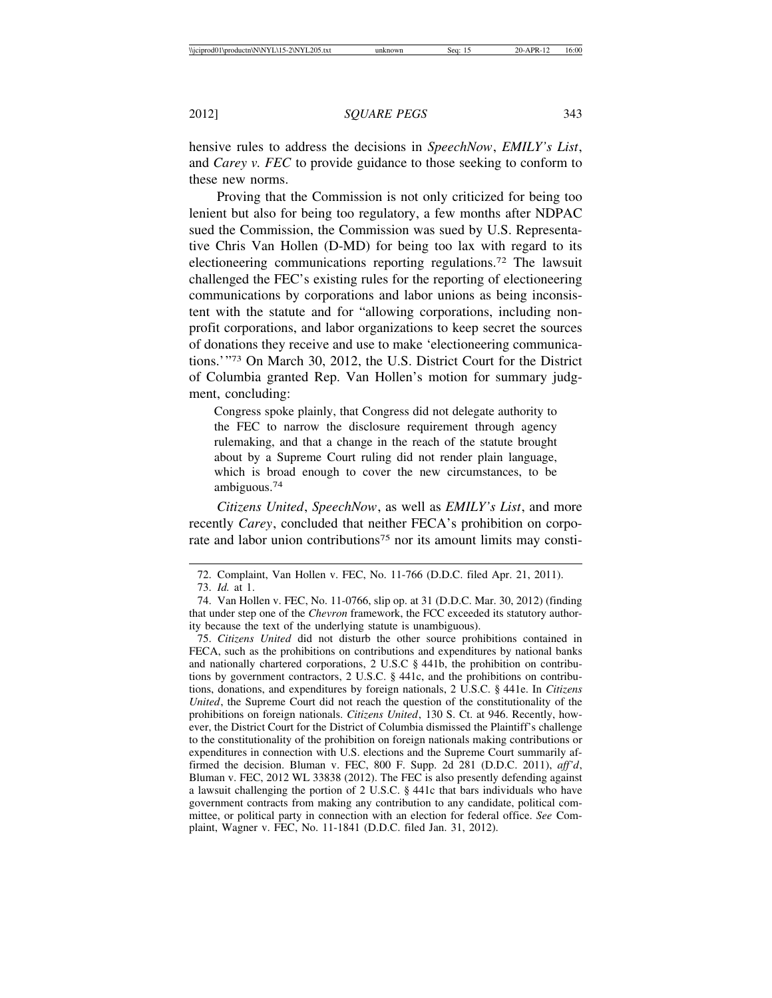hensive rules to address the decisions in *SpeechNow*, *EMILY's List*, and *Carey v. FEC* to provide guidance to those seeking to conform to these new norms.

Proving that the Commission is not only criticized for being too lenient but also for being too regulatory, a few months after NDPAC sued the Commission, the Commission was sued by U.S. Representative Chris Van Hollen (D-MD) for being too lax with regard to its electioneering communications reporting regulations.72 The lawsuit challenged the FEC's existing rules for the reporting of electioneering communications by corporations and labor unions as being inconsistent with the statute and for "allowing corporations, including nonprofit corporations, and labor organizations to keep secret the sources of donations they receive and use to make 'electioneering communications.'"73 On March 30, 2012, the U.S. District Court for the District of Columbia granted Rep. Van Hollen's motion for summary judgment, concluding:

Congress spoke plainly, that Congress did not delegate authority to the FEC to narrow the disclosure requirement through agency rulemaking, and that a change in the reach of the statute brought about by a Supreme Court ruling did not render plain language, which is broad enough to cover the new circumstances, to be ambiguous.<sup>74</sup>

*Citizens United*, *SpeechNow*, as well as *EMILY's List*, and more recently *Carey*, concluded that neither FECA's prohibition on corporate and labor union contributions<sup>75</sup> nor its amount limits may consti-

<sup>72.</sup> Complaint, Van Hollen v. FEC, No. 11-766 (D.D.C. filed Apr. 21, 2011).

<sup>73.</sup> *Id.* at 1.

<sup>74.</sup> Van Hollen v. FEC, No. 11-0766, slip op. at 31 (D.D.C. Mar. 30, 2012) (finding that under step one of the *Chevron* framework, the FCC exceeded its statutory authority because the text of the underlying statute is unambiguous).

<sup>75.</sup> *Citizens United* did not disturb the other source prohibitions contained in FECA, such as the prohibitions on contributions and expenditures by national banks and nationally chartered corporations, 2 U.S.C § 441b, the prohibition on contributions by government contractors, 2 U.S.C. § 441c, and the prohibitions on contributions, donations, and expenditures by foreign nationals, 2 U.S.C. § 441e. In *Citizens United*, the Supreme Court did not reach the question of the constitutionality of the prohibitions on foreign nationals. *Citizens United*, 130 S. Ct. at 946. Recently, however, the District Court for the District of Columbia dismissed the Plaintiff's challenge to the constitutionality of the prohibition on foreign nationals making contributions or expenditures in connection with U.S. elections and the Supreme Court summarily affirmed the decision. Bluman v. FEC, 800 F. Supp. 2d 281 (D.D.C. 2011), *aff'd*, Bluman v. FEC, 2012 WL 33838 (2012). The FEC is also presently defending against a lawsuit challenging the portion of 2 U.S.C. § 441c that bars individuals who have government contracts from making any contribution to any candidate, political committee, or political party in connection with an election for federal office. *See* Complaint, Wagner v. FEC, No. 11-1841 (D.D.C. filed Jan. 31, 2012).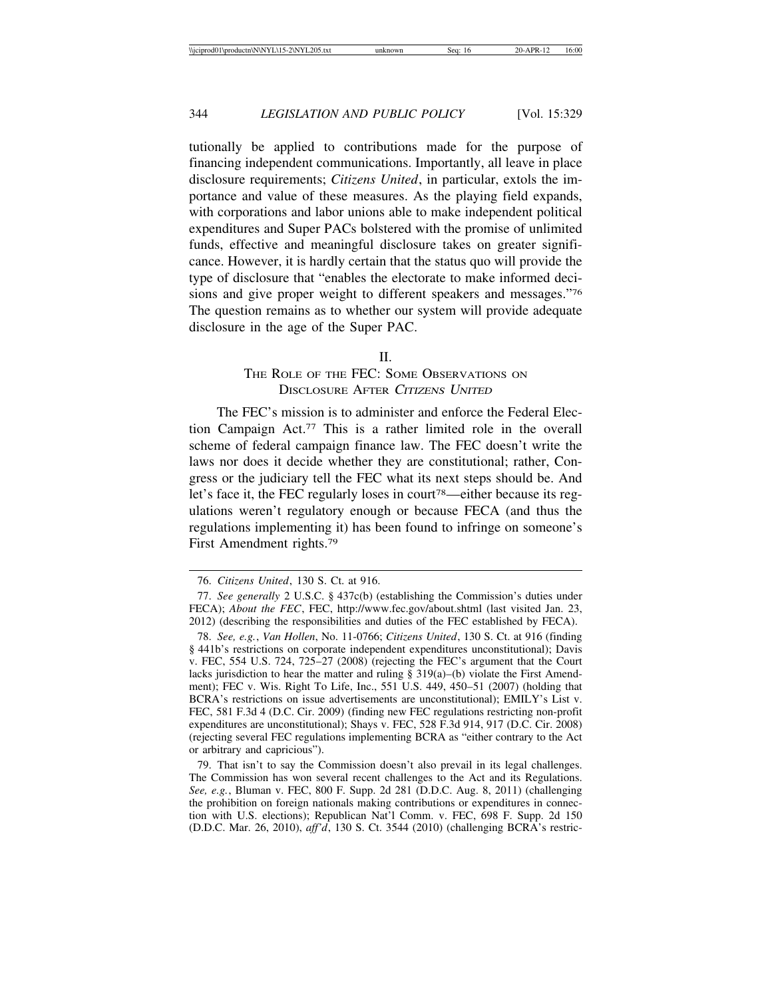tutionally be applied to contributions made for the purpose of financing independent communications. Importantly, all leave in place disclosure requirements; *Citizens United*, in particular, extols the importance and value of these measures. As the playing field expands, with corporations and labor unions able to make independent political expenditures and Super PACs bolstered with the promise of unlimited funds, effective and meaningful disclosure takes on greater significance. However, it is hardly certain that the status quo will provide the type of disclosure that "enables the electorate to make informed decisions and give proper weight to different speakers and messages."76 The question remains as to whether our system will provide adequate disclosure in the age of the Super PAC.

#### II.

### THE ROLE OF THE FEC: SOME OBSERVATIONS ON DISCLOSURE AFTER <sup>C</sup>ITIZENS UNITED

The FEC's mission is to administer and enforce the Federal Election Campaign Act.77 This is a rather limited role in the overall scheme of federal campaign finance law. The FEC doesn't write the laws nor does it decide whether they are constitutional; rather, Congress or the judiciary tell the FEC what its next steps should be. And let's face it, the FEC regularly loses in court<sup>78</sup>—either because its regulations weren't regulatory enough or because FECA (and thus the regulations implementing it) has been found to infringe on someone's First Amendment rights.79

79. That isn't to say the Commission doesn't also prevail in its legal challenges. The Commission has won several recent challenges to the Act and its Regulations. *See, e.g.*, Bluman v. FEC, 800 F. Supp. 2d 281 (D.D.C. Aug. 8, 2011) (challenging the prohibition on foreign nationals making contributions or expenditures in connection with U.S. elections); Republican Nat'l Comm. v. FEC, 698 F. Supp. 2d 150 (D.D.C. Mar. 26, 2010), *aff'd*, 130 S. Ct. 3544 (2010) (challenging BCRA's restric-

<sup>76.</sup> *Citizens United*, 130 S. Ct. at 916.

<sup>77.</sup> *See generally* 2 U.S.C. § 437c(b) (establishing the Commission's duties under FECA); *About the FEC*, FEC, http://www.fec.gov/about.shtml (last visited Jan. 23, 2012) (describing the responsibilities and duties of the FEC established by FECA).

<sup>78.</sup> *See, e.g.*, *Van Hollen*, No. 11-0766; *Citizens United*, 130 S. Ct. at 916 (finding § 441b's restrictions on corporate independent expenditures unconstitutional); Davis v. FEC, 554 U.S. 724, 725–27 (2008) (rejecting the FEC's argument that the Court lacks jurisdiction to hear the matter and ruling  $\S$  319(a)–(b) violate the First Amendment); FEC v. Wis. Right To Life, Inc., 551 U.S. 449, 450–51 (2007) (holding that BCRA's restrictions on issue advertisements are unconstitutional); EMILY's List v. FEC, 581 F.3d 4 (D.C. Cir. 2009) (finding new FEC regulations restricting non-profit expenditures are unconstitutional); Shays v. FEC, 528 F.3d 914, 917 (D.C. Cir. 2008) (rejecting several FEC regulations implementing BCRA as "either contrary to the Act or arbitrary and capricious").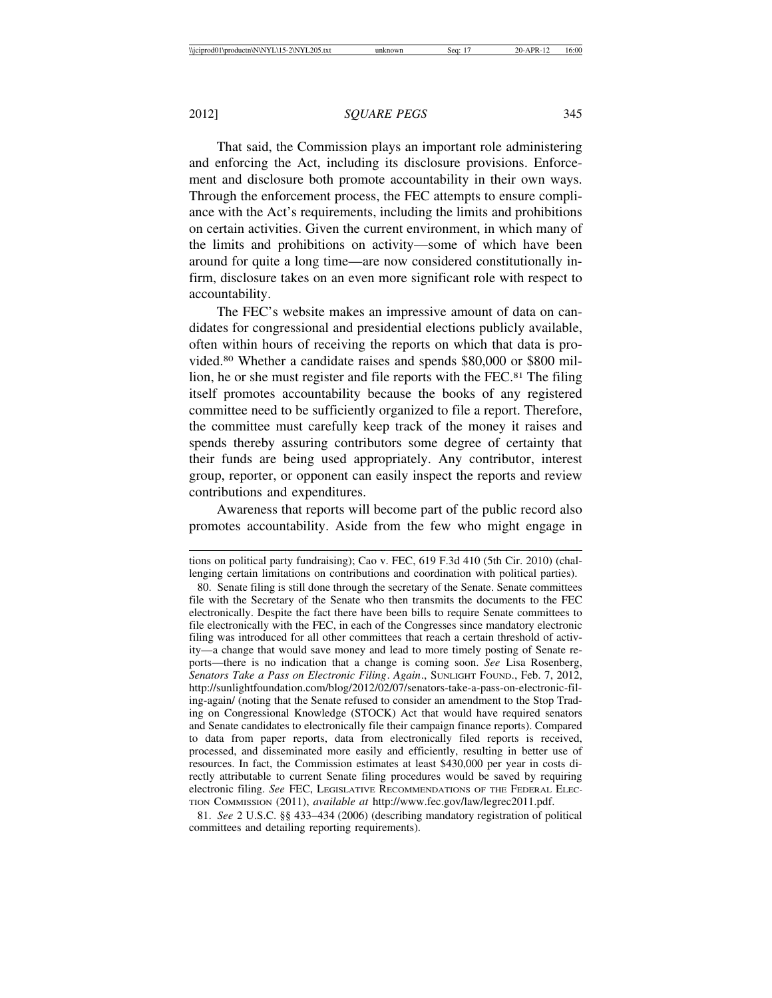That said, the Commission plays an important role administering and enforcing the Act, including its disclosure provisions. Enforcement and disclosure both promote accountability in their own ways. Through the enforcement process, the FEC attempts to ensure compliance with the Act's requirements, including the limits and prohibitions on certain activities. Given the current environment, in which many of the limits and prohibitions on activity—some of which have been around for quite a long time—are now considered constitutionally infirm, disclosure takes on an even more significant role with respect to accountability.

The FEC's website makes an impressive amount of data on candidates for congressional and presidential elections publicly available, often within hours of receiving the reports on which that data is provided.80 Whether a candidate raises and spends \$80,000 or \$800 million, he or she must register and file reports with the FEC.81 The filing itself promotes accountability because the books of any registered committee need to be sufficiently organized to file a report. Therefore, the committee must carefully keep track of the money it raises and spends thereby assuring contributors some degree of certainty that their funds are being used appropriately. Any contributor, interest group, reporter, or opponent can easily inspect the reports and review contributions and expenditures.

Awareness that reports will become part of the public record also promotes accountability. Aside from the few who might engage in

81. *See* 2 U.S.C. §§ 433–434 (2006) (describing mandatory registration of political committees and detailing reporting requirements).

tions on political party fundraising); Cao v. FEC, 619 F.3d 410 (5th Cir. 2010) (challenging certain limitations on contributions and coordination with political parties).

<sup>80.</sup> Senate filing is still done through the secretary of the Senate. Senate committees file with the Secretary of the Senate who then transmits the documents to the FEC electronically. Despite the fact there have been bills to require Senate committees to file electronically with the FEC, in each of the Congresses since mandatory electronic filing was introduced for all other committees that reach a certain threshold of activity—a change that would save money and lead to more timely posting of Senate reports—there is no indication that a change is coming soon. *See* Lisa Rosenberg, *Senators Take a Pass on Electronic Filing*. *Again*., SUNLIGHT FOUND., Feb. 7, 2012, http://sunlightfoundation.com/blog/2012/02/07/senators-take-a-pass-on-electronic-filing-again/ (noting that the Senate refused to consider an amendment to the Stop Trading on Congressional Knowledge (STOCK) Act that would have required senators and Senate candidates to electronically file their campaign finance reports). Compared to data from paper reports, data from electronically filed reports is received, processed, and disseminated more easily and efficiently, resulting in better use of resources. In fact, the Commission estimates at least \$430,000 per year in costs directly attributable to current Senate filing procedures would be saved by requiring electronic filing. *See* FEC, LEGISLATIVE RECOMMENDATIONS OF THE FEDERAL ELEC-TION COMMISSION (2011), *available at* http://www.fec.gov/law/legrec2011.pdf.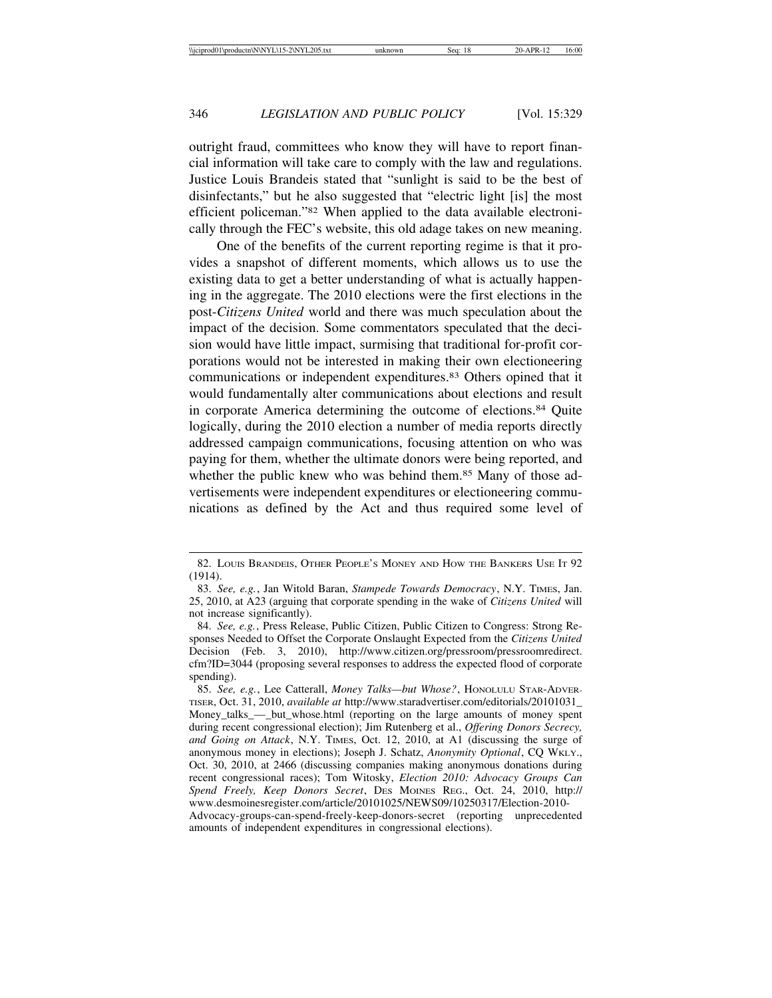outright fraud, committees who know they will have to report financial information will take care to comply with the law and regulations. Justice Louis Brandeis stated that "sunlight is said to be the best of disinfectants," but he also suggested that "electric light [is] the most efficient policeman."82 When applied to the data available electronically through the FEC's website, this old adage takes on new meaning.

One of the benefits of the current reporting regime is that it provides a snapshot of different moments, which allows us to use the existing data to get a better understanding of what is actually happening in the aggregate. The 2010 elections were the first elections in the post-*Citizens United* world and there was much speculation about the impact of the decision. Some commentators speculated that the decision would have little impact, surmising that traditional for-profit corporations would not be interested in making their own electioneering communications or independent expenditures.83 Others opined that it would fundamentally alter communications about elections and result in corporate America determining the outcome of elections.84 Quite logically, during the 2010 election a number of media reports directly addressed campaign communications, focusing attention on who was paying for them, whether the ultimate donors were being reported, and whether the public knew who was behind them.<sup>85</sup> Many of those advertisements were independent expenditures or electioneering communications as defined by the Act and thus required some level of

<sup>82.</sup> LOUIS BRANDEIS, OTHER PEOPLE'S MONEY AND HOW THE BANKERS USE IT 92 (1914).

<sup>83.</sup> *See, e.g.*, Jan Witold Baran, *Stampede Towards Democracy*, N.Y. TIMES, Jan. 25, 2010, at A23 (arguing that corporate spending in the wake of *Citizens United* will not increase significantly).

<sup>84.</sup> *See, e.g.*, Press Release, Public Citizen, Public Citizen to Congress: Strong Responses Needed to Offset the Corporate Onslaught Expected from the *Citizens United* Decision (Feb. 3, 2010), http://www.citizen.org/pressroom/pressroomredirect. cfm?ID=3044 (proposing several responses to address the expected flood of corporate spending).

<sup>85.</sup> *See, e.g.*, Lee Catterall, *Money Talks—but Whose?*, HONOLULU STAR-ADVER-TISER, Oct. 31, 2010, *available at* http://www.staradvertiser.com/editorials/20101031\_ Money\_talks\_—\_but\_whose.html (reporting on the large amounts of money spent during recent congressional election); Jim Rutenberg et al., *Offering Donors Secrecy, and Going on Attack*, N.Y. TIMES, Oct. 12, 2010, at A1 (discussing the surge of anonymous money in elections); Joseph J. Schatz, *Anonymity Optional*, CQ WKLY., Oct. 30, 2010, at 2466 (discussing companies making anonymous donations during recent congressional races); Tom Witosky, *Election 2010: Advocacy Groups Can Spend Freely, Keep Donors Secret*, DES MOINES REG., Oct. 24, 2010, http:// www.desmoinesregister.com/article/20101025/NEWS09/10250317/Election-2010- Advocacy-groups-can-spend-freely-keep-donors-secret (reporting unprecedented amounts of independent expenditures in congressional elections).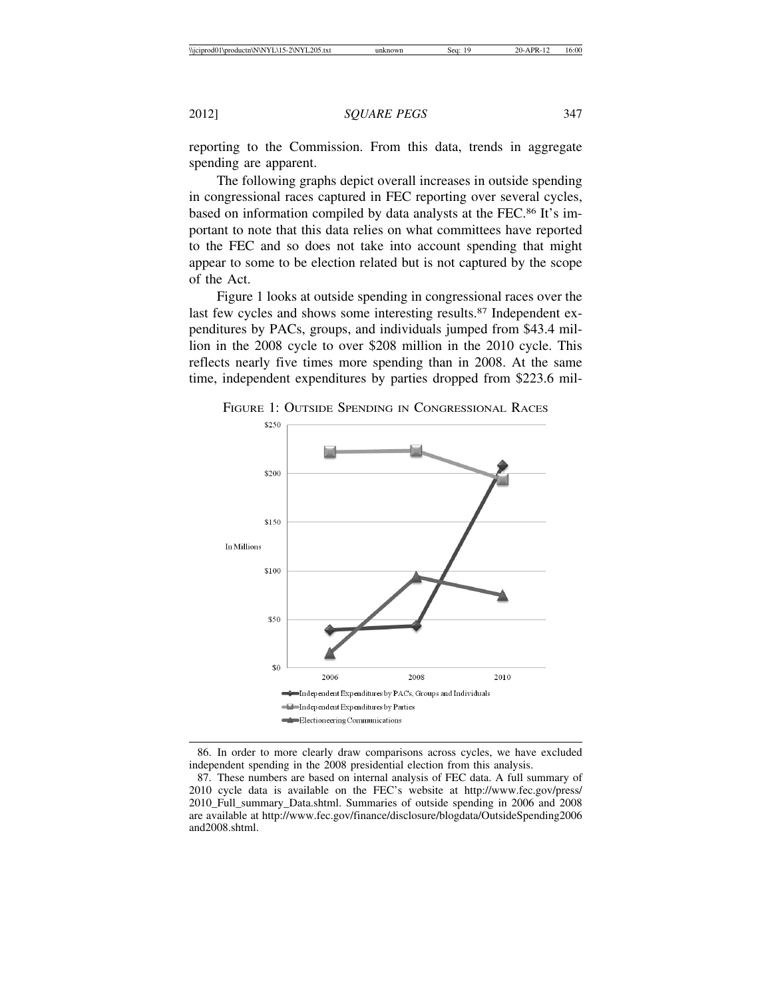reporting to the Commission. From this data, trends in aggregate spending are apparent.

The following graphs depict overall increases in outside spending in congressional races captured in FEC reporting over several cycles, based on information compiled by data analysts at the FEC.86 It's important to note that this data relies on what committees have reported to the FEC and so does not take into account spending that might appear to some to be election related but is not captured by the scope of the Act.

Figure 1 looks at outside spending in congressional races over the last few cycles and shows some interesting results.<sup>87</sup> Independent expenditures by PACs, groups, and individuals jumped from \$43.4 million in the 2008 cycle to over \$208 million in the 2010 cycle. This reflects nearly five times more spending than in 2008. At the same time, independent expenditures by parties dropped from \$223.6 mil-



FIGURE 1: OUTSIDE SPENDING IN CONGRESSIONAL RACES

86. In order to more clearly draw comparisons across cycles, we have excluded independent spending in the 2008 presidential election from this analysis.

<sup>87.</sup> These numbers are based on internal analysis of FEC data. A full summary of 2010 cycle data is available on the FEC's website at http://www.fec.gov/press/ 2010\_Full\_summary\_Data.shtml. Summaries of outside spending in 2006 and 2008 are available at http://www.fec.gov/finance/disclosure/blogdata/OutsideSpending2006 and2008.shtml.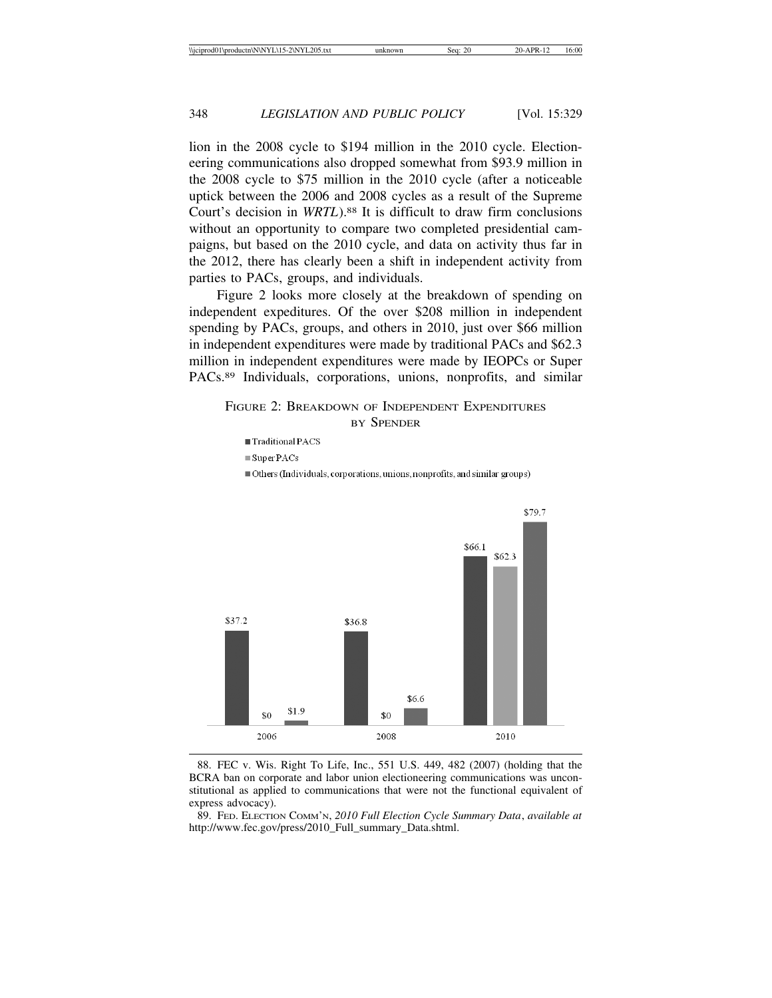lion in the 2008 cycle to \$194 million in the 2010 cycle. Electioneering communications also dropped somewhat from \$93.9 million in the 2008 cycle to \$75 million in the 2010 cycle (after a noticeable uptick between the 2006 and 2008 cycles as a result of the Supreme Court's decision in *WRTL*).<sup>88</sup> It is difficult to draw firm conclusions without an opportunity to compare two completed presidential campaigns, but based on the 2010 cycle, and data on activity thus far in the 2012, there has clearly been a shift in independent activity from parties to PACs, groups, and individuals.

Figure 2 looks more closely at the breakdown of spending on independent expeditures. Of the over \$208 million in independent spending by PACs, groups, and others in 2010, just over \$66 million in independent expenditures were made by traditional PACs and \$62.3 million in independent expenditures were made by IEOPCs or Super PACs.89 Individuals, corporations, unions, nonprofits, and similar

### FIGURE 2: BREAKDOWN OF INDEPENDENT EXPENDITURES BY SPENDER

Traditional PACS

 $\blacksquare$  Super PACs

■ Others (Individuals, corporations, unions, nonprofits, and similar groups)



88. FEC v. Wis. Right To Life, Inc., 551 U.S. 449, 482 (2007) (holding that the BCRA ban on corporate and labor union electioneering communications was unconstitutional as applied to communications that were not the functional equivalent of express advocacy).

89. FED. ELECTION COMM'N, *2010 Full Election Cycle Summary Data*, *available at* http://www.fec.gov/press/2010\_Full\_summary\_Data.shtml.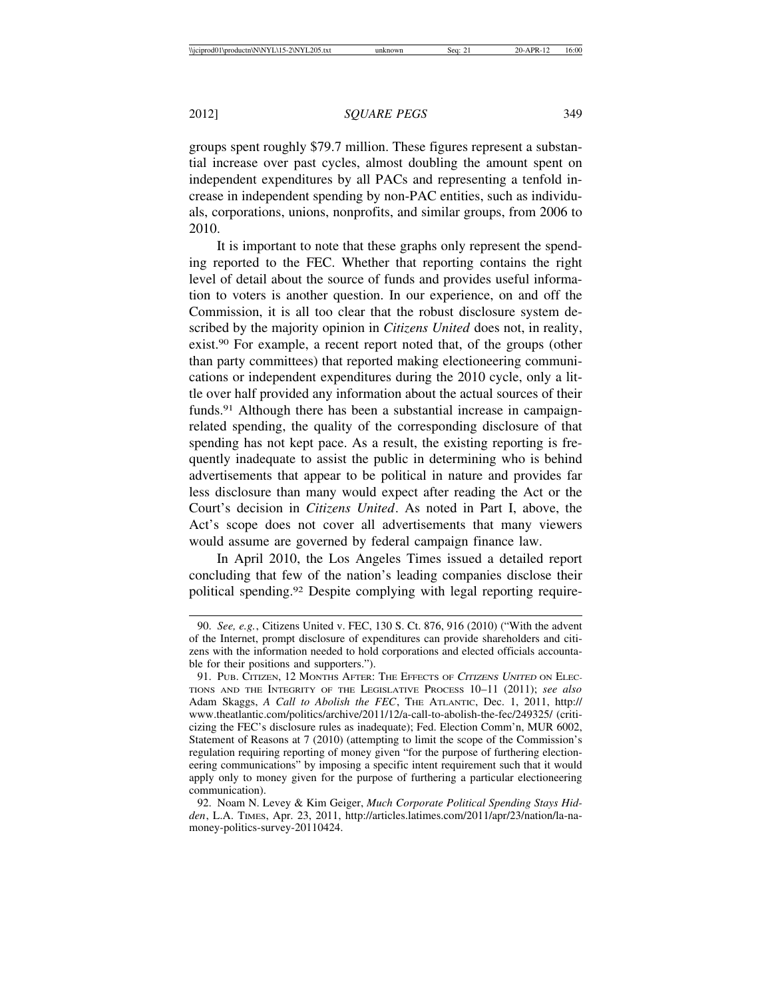groups spent roughly \$79.7 million. These figures represent a substantial increase over past cycles, almost doubling the amount spent on independent expenditures by all PACs and representing a tenfold increase in independent spending by non-PAC entities, such as individuals, corporations, unions, nonprofits, and similar groups, from 2006 to 2010.

It is important to note that these graphs only represent the spending reported to the FEC. Whether that reporting contains the right level of detail about the source of funds and provides useful information to voters is another question. In our experience, on and off the Commission, it is all too clear that the robust disclosure system described by the majority opinion in *Citizens United* does not, in reality, exist.90 For example, a recent report noted that, of the groups (other than party committees) that reported making electioneering communications or independent expenditures during the 2010 cycle, only a little over half provided any information about the actual sources of their funds.<sup>91</sup> Although there has been a substantial increase in campaignrelated spending, the quality of the corresponding disclosure of that spending has not kept pace. As a result, the existing reporting is frequently inadequate to assist the public in determining who is behind advertisements that appear to be political in nature and provides far less disclosure than many would expect after reading the Act or the Court's decision in *Citizens United*. As noted in Part I, above, the Act's scope does not cover all advertisements that many viewers would assume are governed by federal campaign finance law.

In April 2010, the Los Angeles Times issued a detailed report concluding that few of the nation's leading companies disclose their political spending.92 Despite complying with legal reporting require-

<sup>90.</sup> *See, e.g.*, Citizens United v. FEC, 130 S. Ct. 876, 916 (2010) ("With the advent of the Internet, prompt disclosure of expenditures can provide shareholders and citizens with the information needed to hold corporations and elected officials accountable for their positions and supporters.").

<sup>91.</sup> PUB. CITIZEN, 12 MONTHS AFTER: THE EFFECTS OF CITIZENS UNITED ON ELEC-TIONS AND THE INTEGRITY OF THE LEGISLATIVE PROCESS 10–11 (2011); *see also* Adam Skaggs, *A Call to Abolish the FEC*, THE ATLANTIC, Dec. 1, 2011, http:// www.theatlantic.com/politics/archive/2011/12/a-call-to-abolish-the-fec/249325/ (criticizing the FEC's disclosure rules as inadequate); Fed. Election Comm'n, MUR 6002, Statement of Reasons at 7 (2010) (attempting to limit the scope of the Commission's regulation requiring reporting of money given "for the purpose of furthering electioneering communications" by imposing a specific intent requirement such that it would apply only to money given for the purpose of furthering a particular electioneering communication).

<sup>92.</sup> Noam N. Levey & Kim Geiger, *Much Corporate Political Spending Stays Hidden*, L.A. TIMES, Apr. 23, 2011, http://articles.latimes.com/2011/apr/23/nation/la-namoney-politics-survey-20110424.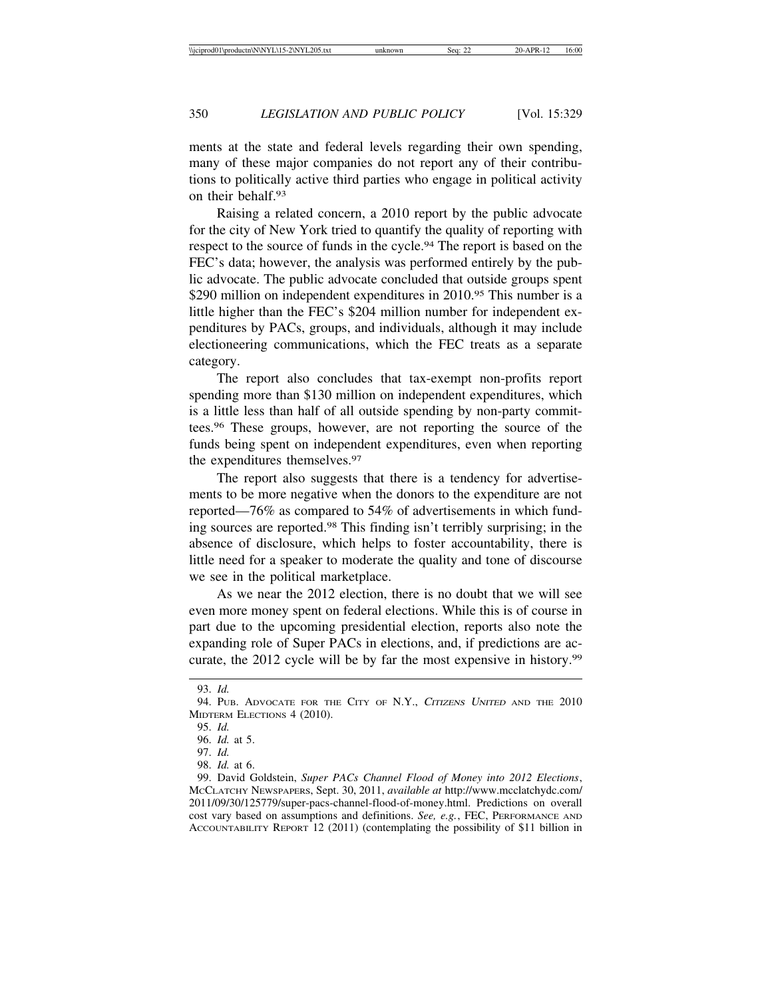ments at the state and federal levels regarding their own spending, many of these major companies do not report any of their contributions to politically active third parties who engage in political activity on their behalf.93

Raising a related concern, a 2010 report by the public advocate for the city of New York tried to quantify the quality of reporting with respect to the source of funds in the cycle.94 The report is based on the FEC's data; however, the analysis was performed entirely by the public advocate. The public advocate concluded that outside groups spent \$290 million on independent expenditures in 2010.<sup>95</sup> This number is a little higher than the FEC's \$204 million number for independent expenditures by PACs, groups, and individuals, although it may include electioneering communications, which the FEC treats as a separate category.

The report also concludes that tax-exempt non-profits report spending more than \$130 million on independent expenditures, which is a little less than half of all outside spending by non-party committees.96 These groups, however, are not reporting the source of the funds being spent on independent expenditures, even when reporting the expenditures themselves.97

The report also suggests that there is a tendency for advertisements to be more negative when the donors to the expenditure are not reported—76% as compared to 54% of advertisements in which funding sources are reported.98 This finding isn't terribly surprising; in the absence of disclosure, which helps to foster accountability, there is little need for a speaker to moderate the quality and tone of discourse we see in the political marketplace.

As we near the 2012 election, there is no doubt that we will see even more money spent on federal elections. While this is of course in part due to the upcoming presidential election, reports also note the expanding role of Super PACs in elections, and, if predictions are accurate, the 2012 cycle will be by far the most expensive in history.<sup>99</sup>

<sup>93.</sup> *Id.*

<sup>94.</sup> PUB. ADVOCATE FOR THE CITY OF N.Y., CITIZENS UNITED AND THE 2010 MIDTERM ELECTIONS 4 (2010).

<sup>95.</sup> *Id.*

<sup>96.</sup> *Id.* at 5.

<sup>97.</sup> *Id.*

<sup>98.</sup> *Id.* at 6.

<sup>99.</sup> David Goldstein, *Super PACs Channel Flood of Money into 2012 Elections*, MCCLATCHY NEWSPAPERS, Sept. 30, 2011, *available at* http://www.mcclatchydc.com/ 2011/09/30/125779/super-pacs-channel-flood-of-money.html. Predictions on overall cost vary based on assumptions and definitions. *See, e.g.*, FEC, PERFORMANCE AND ACCOUNTABILITY REPORT 12 (2011) (contemplating the possibility of \$11 billion in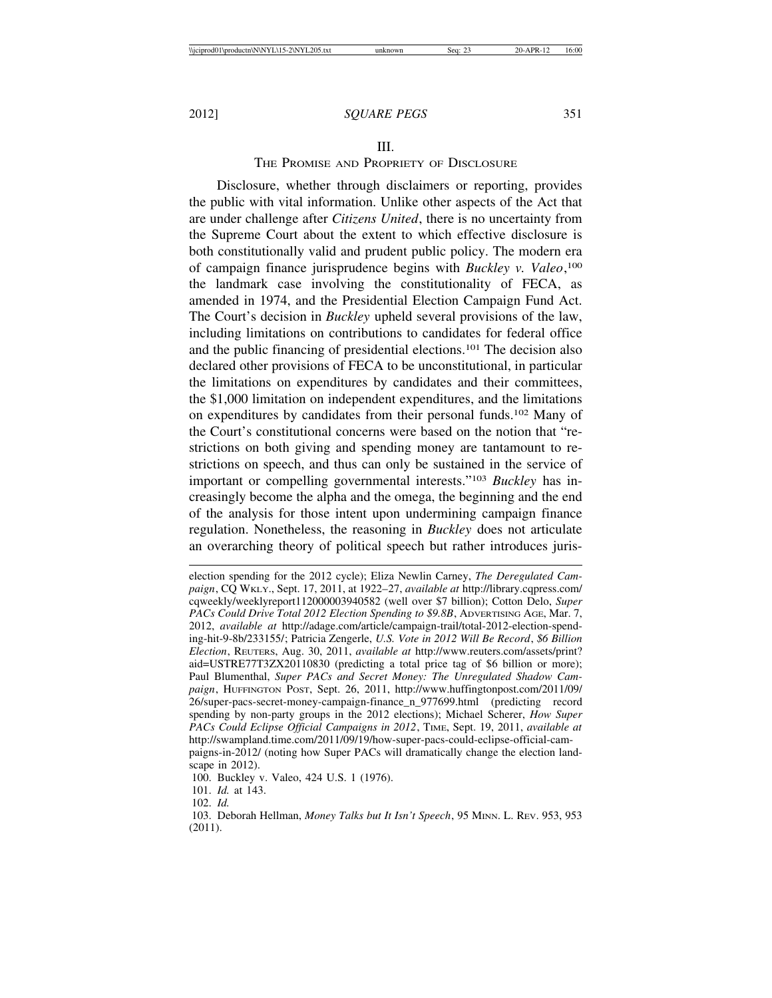#### III.

### THE PROMISE AND PROPRIETY OF DISCLOSURE

Disclosure, whether through disclaimers or reporting, provides the public with vital information. Unlike other aspects of the Act that are under challenge after *Citizens United*, there is no uncertainty from the Supreme Court about the extent to which effective disclosure is both constitutionally valid and prudent public policy. The modern era of campaign finance jurisprudence begins with *Buckley v. Valeo*,<sup>100</sup> the landmark case involving the constitutionality of FECA, as amended in 1974, and the Presidential Election Campaign Fund Act. The Court's decision in *Buckley* upheld several provisions of the law, including limitations on contributions to candidates for federal office and the public financing of presidential elections.101 The decision also declared other provisions of FECA to be unconstitutional, in particular the limitations on expenditures by candidates and their committees, the \$1,000 limitation on independent expenditures, and the limitations on expenditures by candidates from their personal funds.102 Many of the Court's constitutional concerns were based on the notion that "restrictions on both giving and spending money are tantamount to restrictions on speech, and thus can only be sustained in the service of important or compelling governmental interests."103 *Buckley* has increasingly become the alpha and the omega, the beginning and the end of the analysis for those intent upon undermining campaign finance regulation. Nonetheless, the reasoning in *Buckley* does not articulate an overarching theory of political speech but rather introduces juris-

election spending for the 2012 cycle); Eliza Newlin Carney, *The Deregulated Campaign*, CQ WKLY., Sept. 17, 2011, at 1922–27, *available at* http://library.cqpress.com/ cqweekly/weeklyreport112000003940582 (well over \$7 billion); Cotton Delo, *Super* PACs Could Drive Total 2012 Election Spending to \$9.8B, ADVERTISING AGE, Mar. 7, 2012, *available at* http://adage.com/article/campaign-trail/total-2012-election-spending-hit-9-8b/233155/; Patricia Zengerle, *U.S. Vote in 2012 Will Be Record*, *\$6 Billion Election*, REUTERS, Aug. 30, 2011, *available at* http://www.reuters.com/assets/print? aid=USTRE77T3ZX20110830 (predicting a total price tag of \$6 billion or more); Paul Blumenthal, *Super PACs and Secret Money: The Unregulated Shadow Campaign*, HUFFINGTON POST, Sept. 26, 2011, http://www.huffingtonpost.com/2011/09/ 26/super-pacs-secret-money-campaign-finance\_n\_977699.html (predicting record spending by non-party groups in the 2012 elections); Michael Scherer, *How Super PACs Could Eclipse Official Campaigns in 2012*, TIME, Sept. 19, 2011, *available at* http://swampland.time.com/2011/09/19/how-super-pacs-could-eclipse-official-campaigns-in-2012/ (noting how Super PACs will dramatically change the election landscape in 2012).

100. Buckley v. Valeo, 424 U.S. 1 (1976).

101. *Id.* at 143.

<sup>102.</sup> *Id.*

<sup>103.</sup> Deborah Hellman, *Money Talks but It Isn't Speech*, 95 MINN. L. REV. 953, 953 (2011).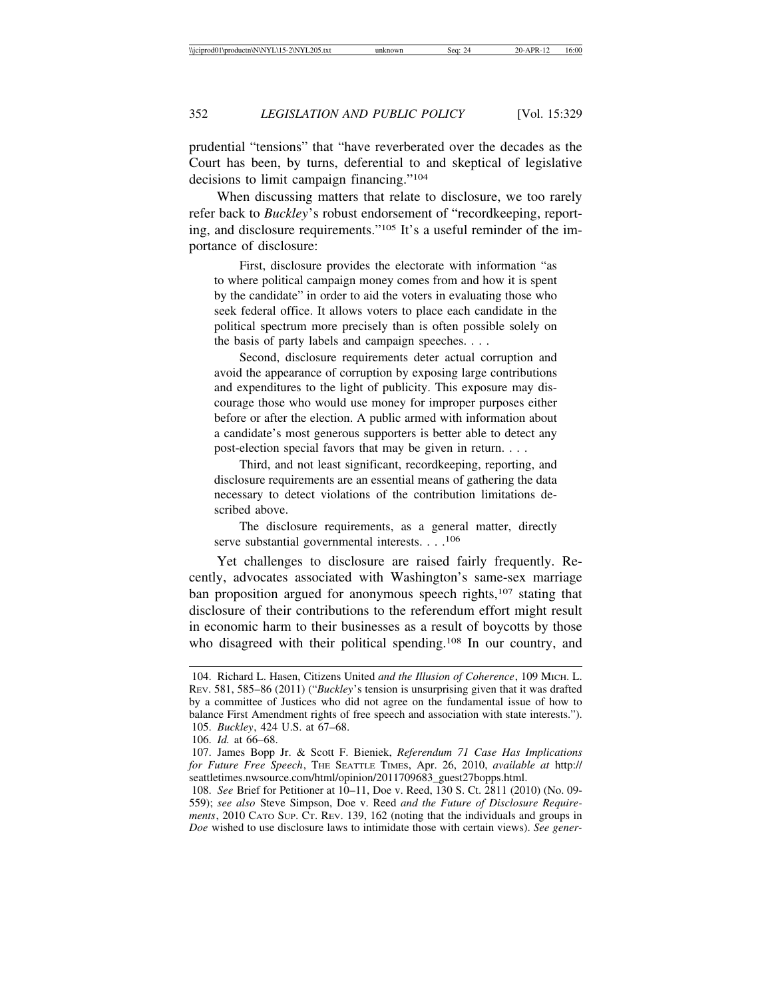prudential "tensions" that "have reverberated over the decades as the Court has been, by turns, deferential to and skeptical of legislative decisions to limit campaign financing."104

When discussing matters that relate to disclosure, we too rarely refer back to *Buckley*'s robust endorsement of "recordkeeping, reporting, and disclosure requirements."105 It's a useful reminder of the importance of disclosure:

First, disclosure provides the electorate with information "as to where political campaign money comes from and how it is spent by the candidate" in order to aid the voters in evaluating those who seek federal office. It allows voters to place each candidate in the political spectrum more precisely than is often possible solely on the basis of party labels and campaign speeches. . . .

Second, disclosure requirements deter actual corruption and avoid the appearance of corruption by exposing large contributions and expenditures to the light of publicity. This exposure may discourage those who would use money for improper purposes either before or after the election. A public armed with information about a candidate's most generous supporters is better able to detect any post-election special favors that may be given in return. . . .

Third, and not least significant, recordkeeping, reporting, and disclosure requirements are an essential means of gathering the data necessary to detect violations of the contribution limitations described above.

The disclosure requirements, as a general matter, directly serve substantial governmental interests. . . .<sup>106</sup>

Yet challenges to disclosure are raised fairly frequently. Recently, advocates associated with Washington's same-sex marriage ban proposition argued for anonymous speech rights,<sup>107</sup> stating that disclosure of their contributions to the referendum effort might result in economic harm to their businesses as a result of boycotts by those who disagreed with their political spending.<sup>108</sup> In our country, and

<sup>104.</sup> Richard L. Hasen, Citizens United *and the Illusion of Coherence*, 109 MICH. L. REV. 581, 585–86 (2011) ("*Buckley*'s tension is unsurprising given that it was drafted by a committee of Justices who did not agree on the fundamental issue of how to balance First Amendment rights of free speech and association with state interests."). 105. *Buckley*, 424 U.S. at 67–68.

<sup>106.</sup> *Id.* at 66–68.

<sup>107.</sup> James Bopp Jr. & Scott F. Bieniek, *Referendum 71 Case Has Implications for Future Free Speech*, THE SEATTLE TIMES, Apr. 26, 2010, *available at* http:// seattletimes.nwsource.com/html/opinion/2011709683\_guest27bopps.html.

<sup>108.</sup> *See* Brief for Petitioner at 10–11, Doe v. Reed, 130 S. Ct. 2811 (2010) (No. 09- 559); *see also* Steve Simpson, Doe v. Reed *and the Future of Disclosure Requirements*, 2010 CATO SUP. CT. REV. 139, 162 (noting that the individuals and groups in *Doe* wished to use disclosure laws to intimidate those with certain views). *See gener-*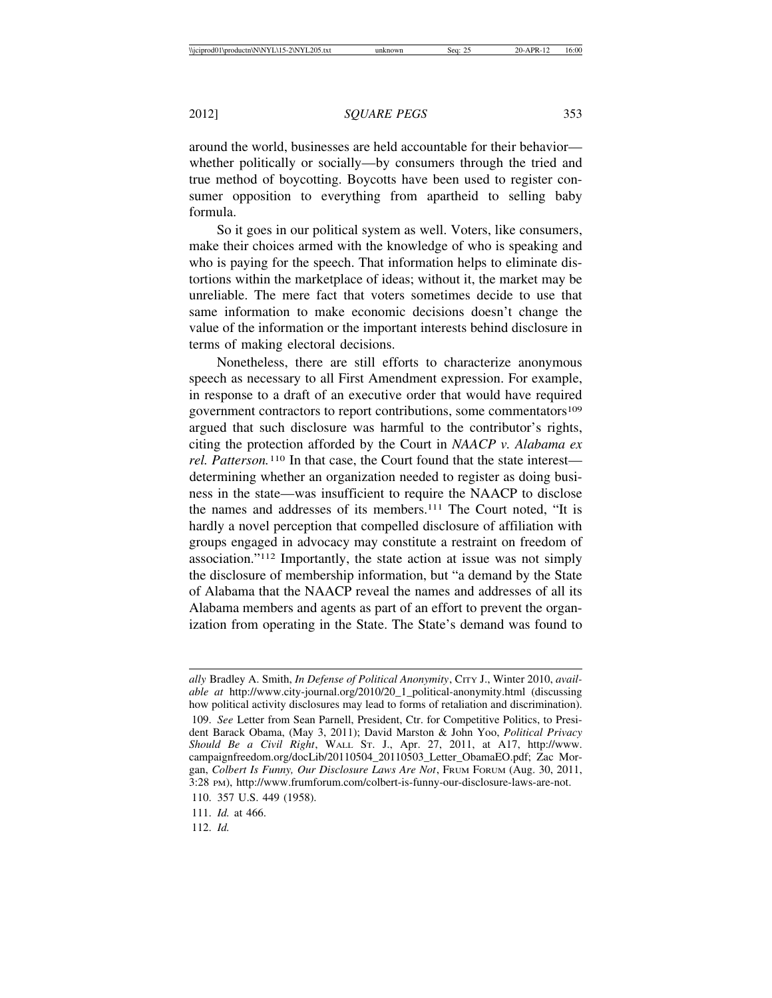around the world, businesses are held accountable for their behavior whether politically or socially—by consumers through the tried and true method of boycotting. Boycotts have been used to register consumer opposition to everything from apartheid to selling baby formula.

So it goes in our political system as well. Voters, like consumers, make their choices armed with the knowledge of who is speaking and who is paying for the speech. That information helps to eliminate distortions within the marketplace of ideas; without it, the market may be unreliable. The mere fact that voters sometimes decide to use that same information to make economic decisions doesn't change the value of the information or the important interests behind disclosure in terms of making electoral decisions.

Nonetheless, there are still efforts to characterize anonymous speech as necessary to all First Amendment expression. For example, in response to a draft of an executive order that would have required government contractors to report contributions, some commentators<sup>109</sup> argued that such disclosure was harmful to the contributor's rights, citing the protection afforded by the Court in *NAACP v. Alabama ex rel. Patterson.*110 In that case, the Court found that the state interest determining whether an organization needed to register as doing business in the state—was insufficient to require the NAACP to disclose the names and addresses of its members.111 The Court noted, "It is hardly a novel perception that compelled disclosure of affiliation with groups engaged in advocacy may constitute a restraint on freedom of association."112 Importantly, the state action at issue was not simply the disclosure of membership information, but "a demand by the State of Alabama that the NAACP reveal the names and addresses of all its Alabama members and agents as part of an effort to prevent the organization from operating in the State. The State's demand was found to

*ally* Bradley A. Smith, *In Defense of Political Anonymity*, CITY J., Winter 2010, *available at* http://www.city-journal.org/2010/20\_1\_political-anonymity.html (discussing how political activity disclosures may lead to forms of retaliation and discrimination).

<sup>109.</sup> *See* Letter from Sean Parnell, President, Ctr. for Competitive Politics, to President Barack Obama, (May 3, 2011); David Marston & John Yoo, *Political Privacy Should Be a Civil Right*, WALL ST. J., Apr. 27, 2011, at A17, http://www. campaignfreedom.org/docLib/20110504\_20110503\_Letter\_ObamaEO.pdf; Zac Morgan, *Colbert Is Funny, Our Disclosure Laws Are Not*, FRUM FORUM (Aug. 30, 2011, 3:28 PM), http://www.frumforum.com/colbert-is-funny-our-disclosure-laws-are-not.

<sup>110. 357</sup> U.S. 449 (1958).

<sup>111.</sup> *Id.* at 466.

<sup>112.</sup> *Id.*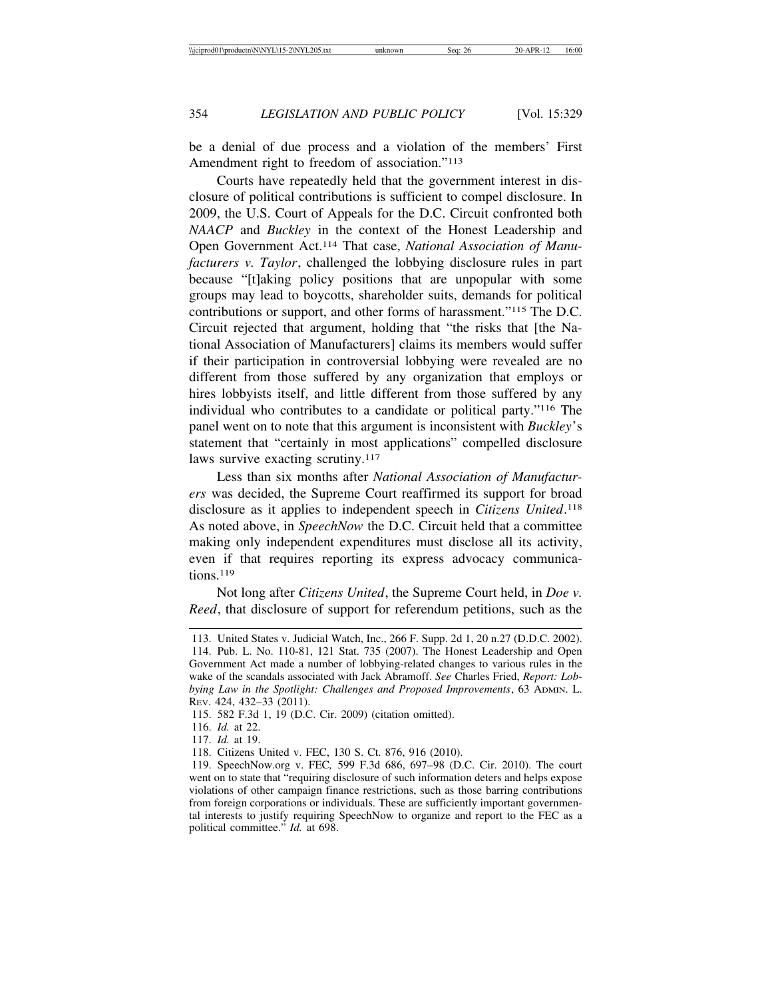be a denial of due process and a violation of the members' First Amendment right to freedom of association."113

Courts have repeatedly held that the government interest in disclosure of political contributions is sufficient to compel disclosure. In 2009, the U.S. Court of Appeals for the D.C. Circuit confronted both *NAACP* and *Buckley* in the context of the Honest Leadership and Open Government Act.114 That case, *National Association of Manufacturers v. Taylor*, challenged the lobbying disclosure rules in part because "[t]aking policy positions that are unpopular with some groups may lead to boycotts, shareholder suits, demands for political contributions or support, and other forms of harassment."115 The D.C. Circuit rejected that argument, holding that "the risks that [the National Association of Manufacturers] claims its members would suffer if their participation in controversial lobbying were revealed are no different from those suffered by any organization that employs or hires lobbyists itself, and little different from those suffered by any individual who contributes to a candidate or political party."116 The panel went on to note that this argument is inconsistent with *Buckley*'s statement that "certainly in most applications" compelled disclosure laws survive exacting scrutiny.<sup>117</sup>

Less than six months after *National Association of Manufacturers* was decided, the Supreme Court reaffirmed its support for broad disclosure as it applies to independent speech in *Citizens United*. 118 As noted above, in *SpeechNow* the D.C. Circuit held that a committee making only independent expenditures must disclose all its activity, even if that requires reporting its express advocacy communications<sup>119</sup>

Not long after *Citizens United*, the Supreme Court held, in *Doe v. Reed*, that disclosure of support for referendum petitions, such as the

<sup>113.</sup> United States v. Judicial Watch, Inc., 266 F. Supp. 2d 1, 20 n.27 (D.D.C. 2002).

<sup>114.</sup> Pub. L. No. 110-81, 121 Stat. 735 (2007). The Honest Leadership and Open Government Act made a number of lobbying-related changes to various rules in the wake of the scandals associated with Jack Abramoff. *See* Charles Fried, *Report: Lobbying Law in the Spotlight: Challenges and Proposed Improvements*, 63 ADMIN. L. REV. 424, 432–33 (2011).

<sup>115. 582</sup> F.3d 1, 19 (D.C. Cir. 2009) (citation omitted).

<sup>116.</sup> *Id.* at 22.

<sup>117.</sup> *Id.* at 19.

<sup>118.</sup> Citizens United v. FEC, 130 S. Ct. 876, 916 (2010).

<sup>119.</sup> SpeechNow.org v. FEC*,* 599 F.3d 686, 697–98 (D.C. Cir. 2010). The court went on to state that "requiring disclosure of such information deters and helps expose violations of other campaign finance restrictions, such as those barring contributions from foreign corporations or individuals. These are sufficiently important governmental interests to justify requiring SpeechNow to organize and report to the FEC as a political committee." *Id.* at 698.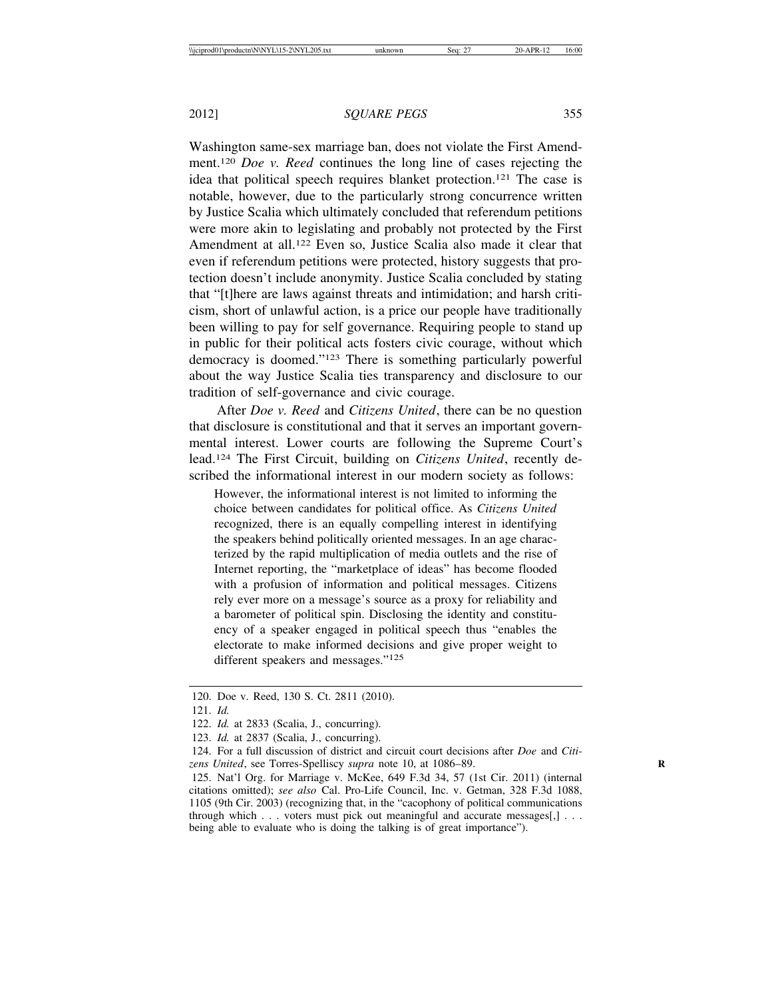Washington same-sex marriage ban, does not violate the First Amendment.120 *Doe v. Reed* continues the long line of cases rejecting the idea that political speech requires blanket protection.121 The case is notable, however, due to the particularly strong concurrence written by Justice Scalia which ultimately concluded that referendum petitions were more akin to legislating and probably not protected by the First Amendment at all.<sup>122</sup> Even so, Justice Scalia also made it clear that even if referendum petitions were protected, history suggests that protection doesn't include anonymity. Justice Scalia concluded by stating that "[t]here are laws against threats and intimidation; and harsh criticism, short of unlawful action, is a price our people have traditionally been willing to pay for self governance. Requiring people to stand up in public for their political acts fosters civic courage, without which democracy is doomed."123 There is something particularly powerful about the way Justice Scalia ties transparency and disclosure to our tradition of self-governance and civic courage.

After *Doe v. Reed* and *Citizens United*, there can be no question that disclosure is constitutional and that it serves an important governmental interest. Lower courts are following the Supreme Court's lead.124 The First Circuit, building on *Citizens United*, recently described the informational interest in our modern society as follows:

However, the informational interest is not limited to informing the choice between candidates for political office. As *Citizens United* recognized, there is an equally compelling interest in identifying the speakers behind politically oriented messages. In an age characterized by the rapid multiplication of media outlets and the rise of Internet reporting, the "marketplace of ideas" has become flooded with a profusion of information and political messages. Citizens rely ever more on a message's source as a proxy for reliability and a barometer of political spin. Disclosing the identity and constituency of a speaker engaged in political speech thus "enables the electorate to make informed decisions and give proper weight to different speakers and messages."125

<sup>120.</sup> Doe v. Reed, 130 S. Ct. 2811 (2010).

<sup>121.</sup> *Id.*

<sup>122.</sup> *Id.* at 2833 (Scalia, J., concurring).

<sup>123.</sup> *Id.* at 2837 (Scalia, J., concurring).

<sup>124.</sup> For a full discussion of district and circuit court decisions after *Doe* and *Citizens United*, see Torres-Spelliscy *supra* note 10, at 1086–89. **R**

<sup>125.</sup> Nat'l Org. for Marriage v. McKee, 649 F.3d 34, 57 (1st Cir. 2011) (internal citations omitted); *see also* Cal. Pro-Life Council, Inc. v. Getman, 328 F.3d 1088, 1105 (9th Cir. 2003) (recognizing that, in the "cacophony of political communications through which . . . voters must pick out meaningful and accurate messages[,] . . . being able to evaluate who is doing the talking is of great importance").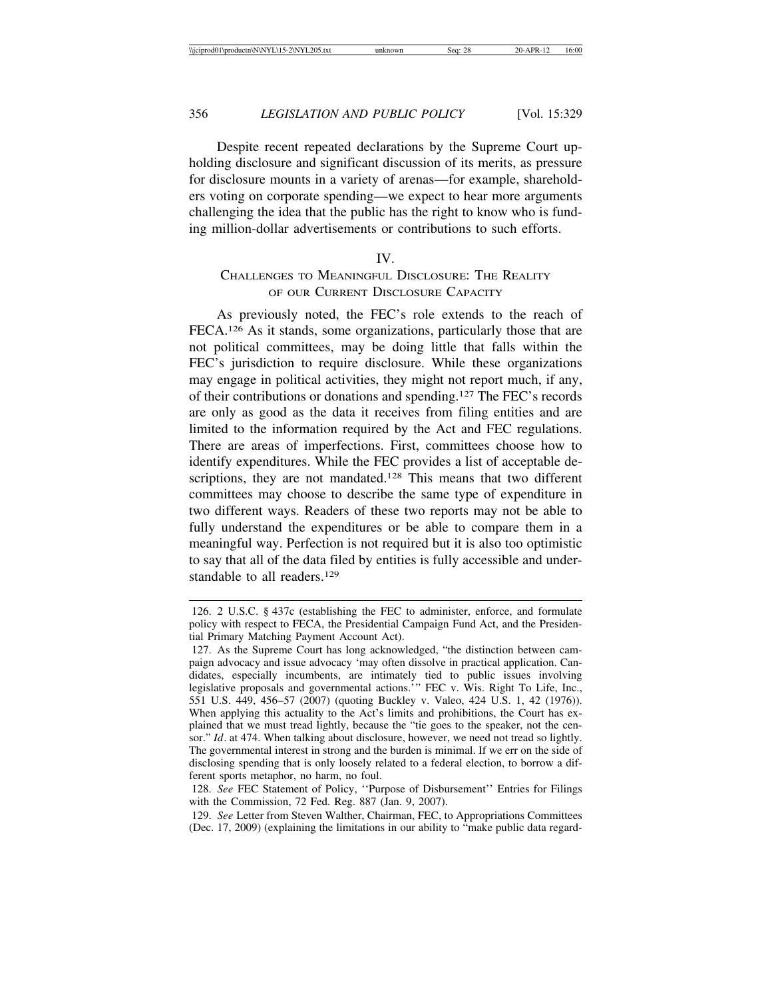Despite recent repeated declarations by the Supreme Court upholding disclosure and significant discussion of its merits, as pressure for disclosure mounts in a variety of arenas—for example, shareholders voting on corporate spending—we expect to hear more arguments challenging the idea that the public has the right to know who is funding million-dollar advertisements or contributions to such efforts.

#### IV.

### CHALLENGES TO MEANINGFUL DISCLOSURE: THE REALITY OF OUR CURRENT DISCLOSURE CAPACITY

As previously noted, the FEC's role extends to the reach of FECA.<sup>126</sup> As it stands, some organizations, particularly those that are not political committees, may be doing little that falls within the FEC's jurisdiction to require disclosure. While these organizations may engage in political activities, they might not report much, if any, of their contributions or donations and spending.127 The FEC's records are only as good as the data it receives from filing entities and are limited to the information required by the Act and FEC regulations. There are areas of imperfections. First, committees choose how to identify expenditures. While the FEC provides a list of acceptable descriptions, they are not mandated.<sup>128</sup> This means that two different committees may choose to describe the same type of expenditure in two different ways. Readers of these two reports may not be able to fully understand the expenditures or be able to compare them in a meaningful way. Perfection is not required but it is also too optimistic to say that all of the data filed by entities is fully accessible and understandable to all readers.<sup>129</sup>

<sup>126. 2</sup> U.S.C. § 437c (establishing the FEC to administer, enforce, and formulate policy with respect to FECA, the Presidential Campaign Fund Act, and the Presidential Primary Matching Payment Account Act).

<sup>127.</sup> As the Supreme Court has long acknowledged, "the distinction between campaign advocacy and issue advocacy 'may often dissolve in practical application. Candidates, especially incumbents, are intimately tied to public issues involving legislative proposals and governmental actions.'" FEC v. Wis. Right To Life, Inc., 551 U.S. 449, 456–57 (2007) (quoting Buckley v. Valeo, 424 U.S. 1, 42 (1976)). When applying this actuality to the Act's limits and prohibitions, the Court has explained that we must tread lightly, because the "tie goes to the speaker, not the censor." *Id*. at 474. When talking about disclosure, however, we need not tread so lightly. The governmental interest in strong and the burden is minimal. If we err on the side of disclosing spending that is only loosely related to a federal election, to borrow a different sports metaphor, no harm, no foul.

<sup>128.</sup> *See* FEC Statement of Policy, ''Purpose of Disbursement'' Entries for Filings with the Commission, 72 Fed. Reg. 887 (Jan. 9, 2007).

<sup>129.</sup> *See* Letter from Steven Walther, Chairman, FEC, to Appropriations Committees (Dec. 17, 2009) (explaining the limitations in our ability to "make public data regard-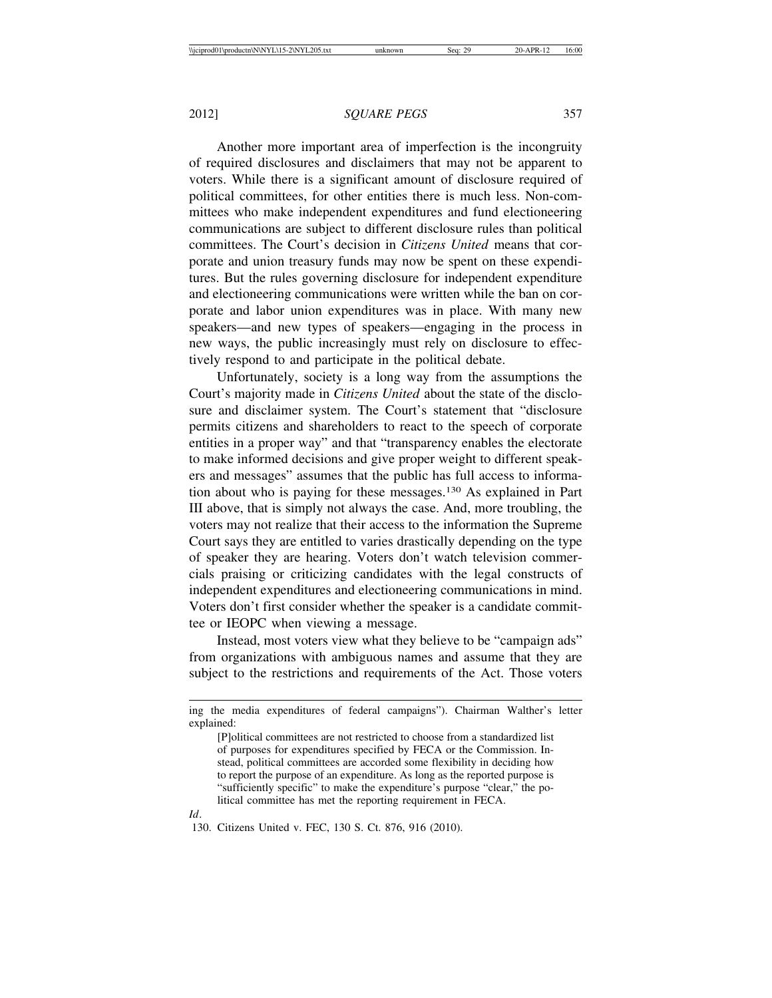Another more important area of imperfection is the incongruity of required disclosures and disclaimers that may not be apparent to voters. While there is a significant amount of disclosure required of political committees, for other entities there is much less. Non-committees who make independent expenditures and fund electioneering communications are subject to different disclosure rules than political committees. The Court's decision in *Citizens United* means that corporate and union treasury funds may now be spent on these expenditures. But the rules governing disclosure for independent expenditure and electioneering communications were written while the ban on corporate and labor union expenditures was in place. With many new speakers—and new types of speakers—engaging in the process in new ways, the public increasingly must rely on disclosure to effectively respond to and participate in the political debate.

Unfortunately, society is a long way from the assumptions the Court's majority made in *Citizens United* about the state of the disclosure and disclaimer system. The Court's statement that "disclosure permits citizens and shareholders to react to the speech of corporate entities in a proper way" and that "transparency enables the electorate to make informed decisions and give proper weight to different speakers and messages" assumes that the public has full access to information about who is paying for these messages.130 As explained in Part III above, that is simply not always the case. And, more troubling, the voters may not realize that their access to the information the Supreme Court says they are entitled to varies drastically depending on the type of speaker they are hearing. Voters don't watch television commercials praising or criticizing candidates with the legal constructs of independent expenditures and electioneering communications in mind. Voters don't first consider whether the speaker is a candidate committee or IEOPC when viewing a message.

Instead, most voters view what they believe to be "campaign ads" from organizations with ambiguous names and assume that they are subject to the restrictions and requirements of the Act. Those voters

ing the media expenditures of federal campaigns"). Chairman Walther's letter explained:

<sup>[</sup>P]olitical committees are not restricted to choose from a standardized list of purposes for expenditures specified by FECA or the Commission. Instead, political committees are accorded some flexibility in deciding how to report the purpose of an expenditure. As long as the reported purpose is "sufficiently specific" to make the expenditure's purpose "clear," the political committee has met the reporting requirement in FECA.

<sup>130.</sup> Citizens United v. FEC, 130 S. Ct. 876, 916 (2010).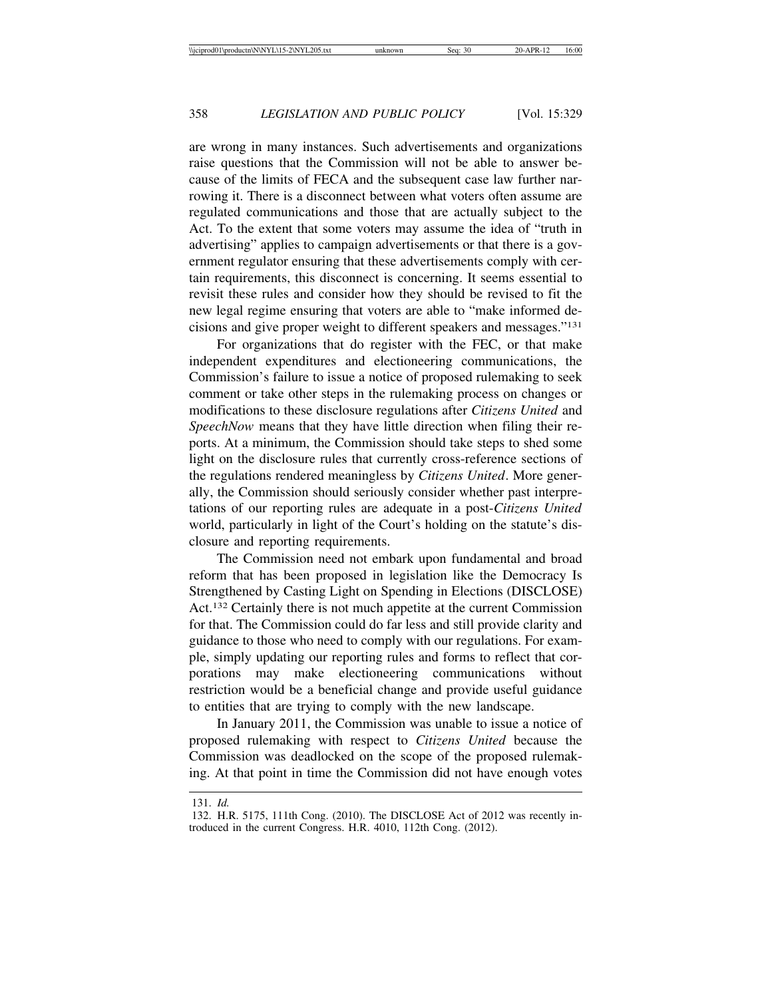are wrong in many instances. Such advertisements and organizations raise questions that the Commission will not be able to answer because of the limits of FECA and the subsequent case law further narrowing it. There is a disconnect between what voters often assume are regulated communications and those that are actually subject to the Act. To the extent that some voters may assume the idea of "truth in advertising" applies to campaign advertisements or that there is a government regulator ensuring that these advertisements comply with certain requirements, this disconnect is concerning. It seems essential to revisit these rules and consider how they should be revised to fit the new legal regime ensuring that voters are able to "make informed decisions and give proper weight to different speakers and messages."131

For organizations that do register with the FEC, or that make independent expenditures and electioneering communications, the Commission's failure to issue a notice of proposed rulemaking to seek comment or take other steps in the rulemaking process on changes or modifications to these disclosure regulations after *Citizens United* and *SpeechNow* means that they have little direction when filing their reports. At a minimum, the Commission should take steps to shed some light on the disclosure rules that currently cross-reference sections of the regulations rendered meaningless by *Citizens United*. More generally, the Commission should seriously consider whether past interpretations of our reporting rules are adequate in a post-*Citizens United* world, particularly in light of the Court's holding on the statute's disclosure and reporting requirements.

The Commission need not embark upon fundamental and broad reform that has been proposed in legislation like the Democracy Is Strengthened by Casting Light on Spending in Elections (DISCLOSE) Act.132 Certainly there is not much appetite at the current Commission for that. The Commission could do far less and still provide clarity and guidance to those who need to comply with our regulations. For example, simply updating our reporting rules and forms to reflect that corporations may make electioneering communications without restriction would be a beneficial change and provide useful guidance to entities that are trying to comply with the new landscape.

In January 2011, the Commission was unable to issue a notice of proposed rulemaking with respect to *Citizens United* because the Commission was deadlocked on the scope of the proposed rulemaking. At that point in time the Commission did not have enough votes

<sup>131.</sup> *Id.*

<sup>132.</sup> H.R. 5175, 111th Cong. (2010). The DISCLOSE Act of 2012 was recently introduced in the current Congress. H.R. 4010, 112th Cong. (2012).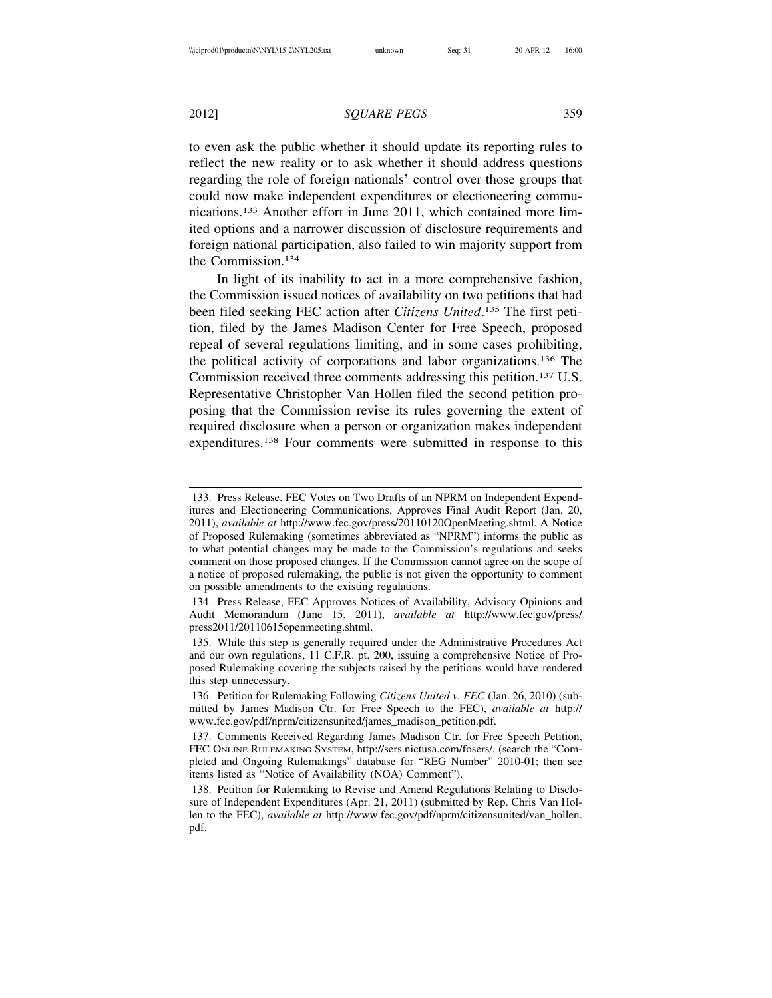to even ask the public whether it should update its reporting rules to reflect the new reality or to ask whether it should address questions regarding the role of foreign nationals' control over those groups that could now make independent expenditures or electioneering communications.133 Another effort in June 2011, which contained more limited options and a narrower discussion of disclosure requirements and foreign national participation, also failed to win majority support from the Commission.134

In light of its inability to act in a more comprehensive fashion, the Commission issued notices of availability on two petitions that had been filed seeking FEC action after *Citizens United*. 135 The first petition, filed by the James Madison Center for Free Speech, proposed repeal of several regulations limiting, and in some cases prohibiting, the political activity of corporations and labor organizations.136 The Commission received three comments addressing this petition.137 U.S. Representative Christopher Van Hollen filed the second petition proposing that the Commission revise its rules governing the extent of required disclosure when a person or organization makes independent expenditures.138 Four comments were submitted in response to this

134. Press Release, FEC Approves Notices of Availability, Advisory Opinions and Audit Memorandum (June 15, 2011), *available at* http://www.fec.gov/press/ press2011/20110615openmeeting.shtml.

<sup>133.</sup> Press Release, FEC Votes on Two Drafts of an NPRM on Independent Expenditures and Electioneering Communications, Approves Final Audit Report (Jan. 20, 2011), *available at* http://www.fec.gov/press/20110120OpenMeeting.shtml. A Notice of Proposed Rulemaking (sometimes abbreviated as "NPRM") informs the public as to what potential changes may be made to the Commission's regulations and seeks comment on those proposed changes. If the Commission cannot agree on the scope of a notice of proposed rulemaking, the public is not given the opportunity to comment on possible amendments to the existing regulations.

<sup>135.</sup> While this step is generally required under the Administrative Procedures Act and our own regulations, 11 C.F.R. pt. 200, issuing a comprehensive Notice of Proposed Rulemaking covering the subjects raised by the petitions would have rendered this step unnecessary.

<sup>136.</sup> Petition for Rulemaking Following *Citizens United v. FEC* (Jan. 26, 2010) (submitted by James Madison Ctr. for Free Speech to the FEC), *available at* http:// www.fec.gov/pdf/nprm/citizensunited/james\_madison\_petition.pdf.

<sup>137.</sup> Comments Received Regarding James Madison Ctr. for Free Speech Petition, FEC ONLINE RULEMAKING SYSTEM, http://sers.nictusa.com/fosers/, (search the "Completed and Ongoing Rulemakings" database for "REG Number" 2010-01; then see items listed as "Notice of Availability (NOA) Comment").

<sup>138.</sup> Petition for Rulemaking to Revise and Amend Regulations Relating to Disclosure of Independent Expenditures (Apr. 21, 2011) (submitted by Rep. Chris Van Hollen to the FEC), *available at* http://www.fec.gov/pdf/nprm/citizensunited/van\_hollen. pdf.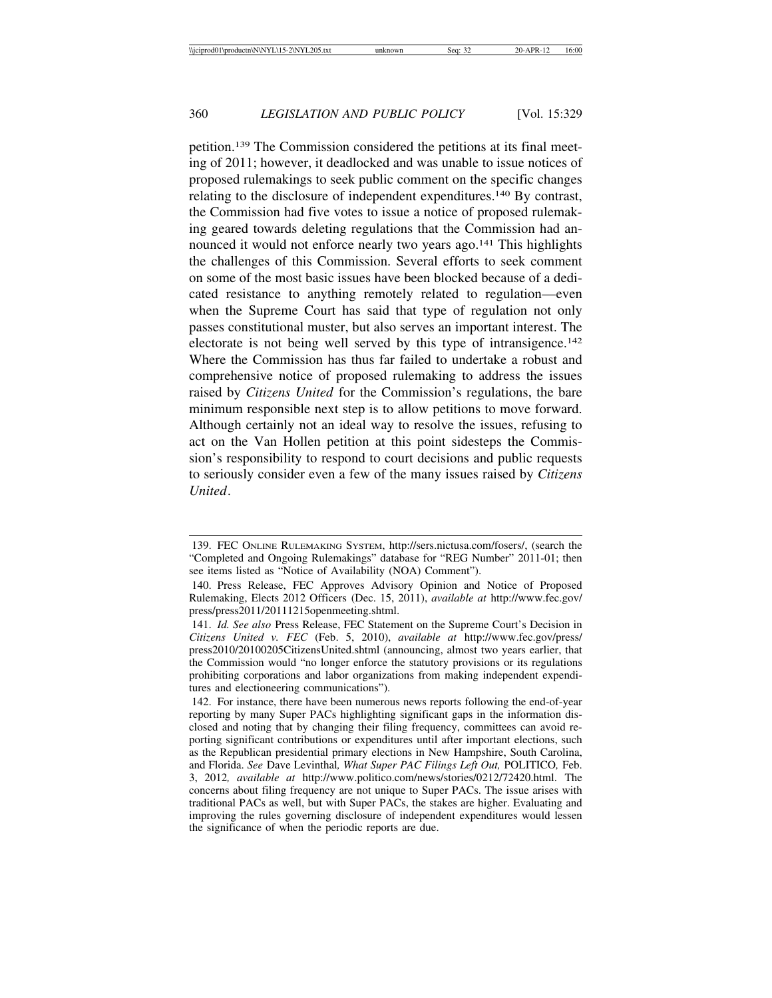petition.139 The Commission considered the petitions at its final meeting of 2011; however, it deadlocked and was unable to issue notices of proposed rulemakings to seek public comment on the specific changes relating to the disclosure of independent expenditures.140 By contrast, the Commission had five votes to issue a notice of proposed rulemaking geared towards deleting regulations that the Commission had announced it would not enforce nearly two years ago.<sup>141</sup> This highlights the challenges of this Commission. Several efforts to seek comment on some of the most basic issues have been blocked because of a dedicated resistance to anything remotely related to regulation—even when the Supreme Court has said that type of regulation not only passes constitutional muster, but also serves an important interest. The electorate is not being well served by this type of intransigence.142 Where the Commission has thus far failed to undertake a robust and comprehensive notice of proposed rulemaking to address the issues raised by *Citizens United* for the Commission's regulations, the bare minimum responsible next step is to allow petitions to move forward. Although certainly not an ideal way to resolve the issues, refusing to act on the Van Hollen petition at this point sidesteps the Commission's responsibility to respond to court decisions and public requests to seriously consider even a few of the many issues raised by *Citizens United*.

<sup>139.</sup> FEC ONLINE RULEMAKING SYSTEM, http://sers.nictusa.com/fosers/, (search the "Completed and Ongoing Rulemakings" database for "REG Number" 2011-01; then see items listed as "Notice of Availability (NOA) Comment").

<sup>140.</sup> Press Release, FEC Approves Advisory Opinion and Notice of Proposed Rulemaking, Elects 2012 Officers (Dec. 15, 2011), *available at* http://www.fec.gov/ press/press2011/20111215openmeeting.shtml.

<sup>141.</sup> *Id. See also* Press Release, FEC Statement on the Supreme Court's Decision in *Citizens United v. FEC* (Feb. 5, 2010), *available at* http://www.fec.gov/press/ press2010/20100205CitizensUnited.shtml (announcing, almost two years earlier, that the Commission would "no longer enforce the statutory provisions or its regulations prohibiting corporations and labor organizations from making independent expenditures and electioneering communications").

<sup>142.</sup> For instance, there have been numerous news reports following the end-of-year reporting by many Super PACs highlighting significant gaps in the information disclosed and noting that by changing their filing frequency, committees can avoid reporting significant contributions or expenditures until after important elections, such as the Republican presidential primary elections in New Hampshire, South Carolina, and Florida. *See* Dave Levinthal*, What Super PAC Filings Left Out,* POLITICO*,* Feb. 3, 2012*, available at* http://www.politico.com/news/stories/0212/72420.html. The concerns about filing frequency are not unique to Super PACs. The issue arises with traditional PACs as well, but with Super PACs, the stakes are higher. Evaluating and improving the rules governing disclosure of independent expenditures would lessen the significance of when the periodic reports are due.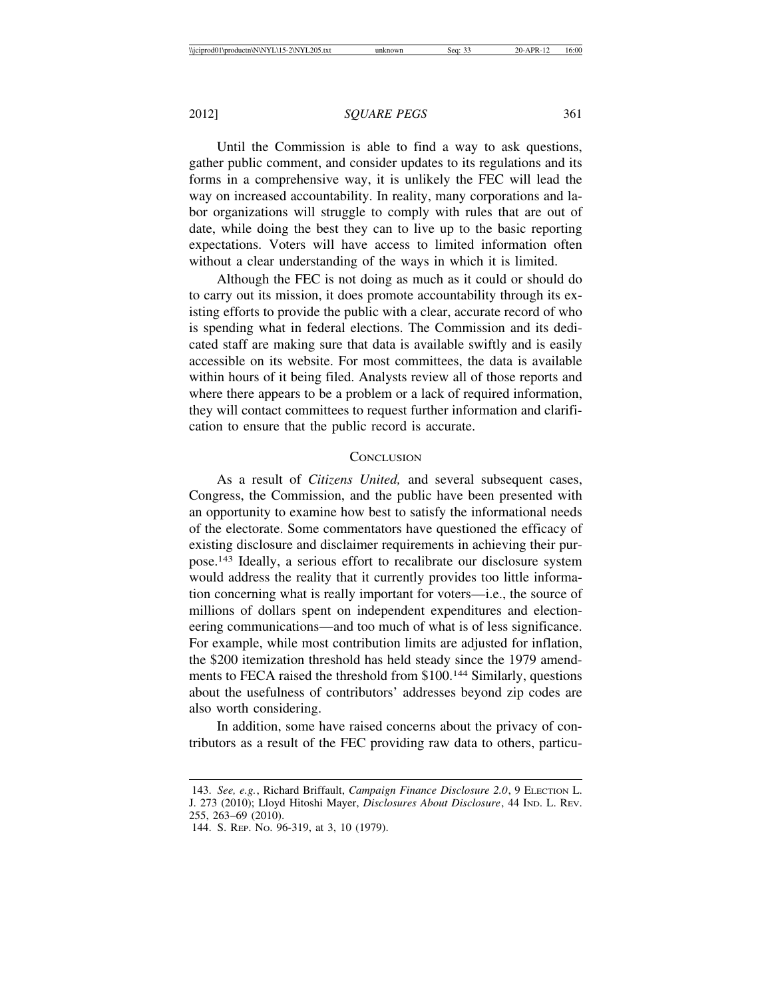Until the Commission is able to find a way to ask questions, gather public comment, and consider updates to its regulations and its forms in a comprehensive way, it is unlikely the FEC will lead the way on increased accountability. In reality, many corporations and labor organizations will struggle to comply with rules that are out of date, while doing the best they can to live up to the basic reporting expectations. Voters will have access to limited information often without a clear understanding of the ways in which it is limited.

Although the FEC is not doing as much as it could or should do to carry out its mission, it does promote accountability through its existing efforts to provide the public with a clear, accurate record of who is spending what in federal elections. The Commission and its dedicated staff are making sure that data is available swiftly and is easily accessible on its website. For most committees, the data is available within hours of it being filed. Analysts review all of those reports and where there appears to be a problem or a lack of required information, they will contact committees to request further information and clarification to ensure that the public record is accurate.

### **CONCLUSION**

As a result of *Citizens United,* and several subsequent cases, Congress, the Commission, and the public have been presented with an opportunity to examine how best to satisfy the informational needs of the electorate. Some commentators have questioned the efficacy of existing disclosure and disclaimer requirements in achieving their purpose.143 Ideally, a serious effort to recalibrate our disclosure system would address the reality that it currently provides too little information concerning what is really important for voters—i.e., the source of millions of dollars spent on independent expenditures and electioneering communications—and too much of what is of less significance. For example, while most contribution limits are adjusted for inflation, the \$200 itemization threshold has held steady since the 1979 amendments to FECA raised the threshold from \$100.144 Similarly, questions about the usefulness of contributors' addresses beyond zip codes are also worth considering.

In addition, some have raised concerns about the privacy of contributors as a result of the FEC providing raw data to others, particu-

<sup>143.</sup> *See, e.g.*, Richard Briffault, *Campaign Finance Disclosure 2.0*, 9 ELECTION L. J. 273 (2010); Lloyd Hitoshi Mayer, *Disclosures About Disclosure*, 44 IND. L. REV. 255, 263–69 (2010).

<sup>144.</sup> S. REP. NO. 96-319, at 3, 10 (1979).